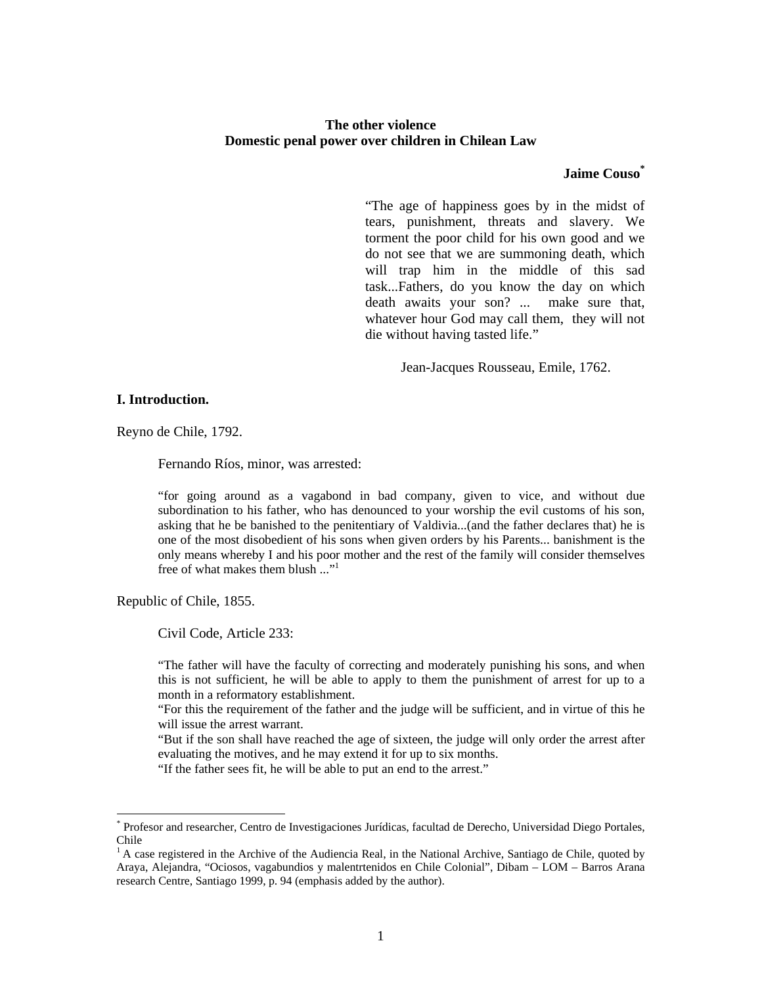# **The other violence Domestic penal power over children in Chilean Law**

# **Jaime Couso\***

"The age of happiness goes by in the midst of tears, punishment, threats and slavery. We torment the poor child for his own good and we do not see that we are summoning death, which will trap him in the middle of this sad task...Fathers, do you know the day on which death awaits your son? ... make sure that, whatever hour God may call them, they will not die without having tasted life."

Jean-Jacques Rousseau, Emile, 1762.

# **I. Introduction.**

Reyno de Chile, 1792.

Fernando Ríos, minor, was arrested:

"for going around as a vagabond in bad company, given to vice, and without due subordination to his father, who has denounced to your worship the evil customs of his son, asking that he be banished to the penitentiary of Valdivia...(and the father declares that) he is one of the most disobedient of his sons when given orders by his Parents... banishment is the only means whereby I and his poor mother and the rest of the family will consider themselves free of what makes them blush ..."1

Republic of Chile, 1855.

-

Civil Code, Article 233:

"The father will have the faculty of correcting and moderately punishing his sons, and when this is not sufficient, he will be able to apply to them the punishment of arrest for up to a month in a reformatory establishment.

"For this the requirement of the father and the judge will be sufficient, and in virtue of this he will issue the arrest warrant.

"But if the son shall have reached the age of sixteen, the judge will only order the arrest after evaluating the motives, and he may extend it for up to six months.

"If the father sees fit, he will be able to put an end to the arrest."

<sup>\*</sup> Profesor and researcher, Centro de Investigaciones Jurídicas, facultad de Derecho, Universidad Diego Portales, Chile

 $<sup>1</sup>$  A case registered in the Archive of the Audiencia Real, in the National Archive, Santiago de Chile, quoted by</sup> Araya, Alejandra, "Ociosos, vagabundios y malentrtenidos en Chile Colonial", Dibam – LOM – Barros Arana research Centre, Santiago 1999, p. 94 (emphasis added by the author).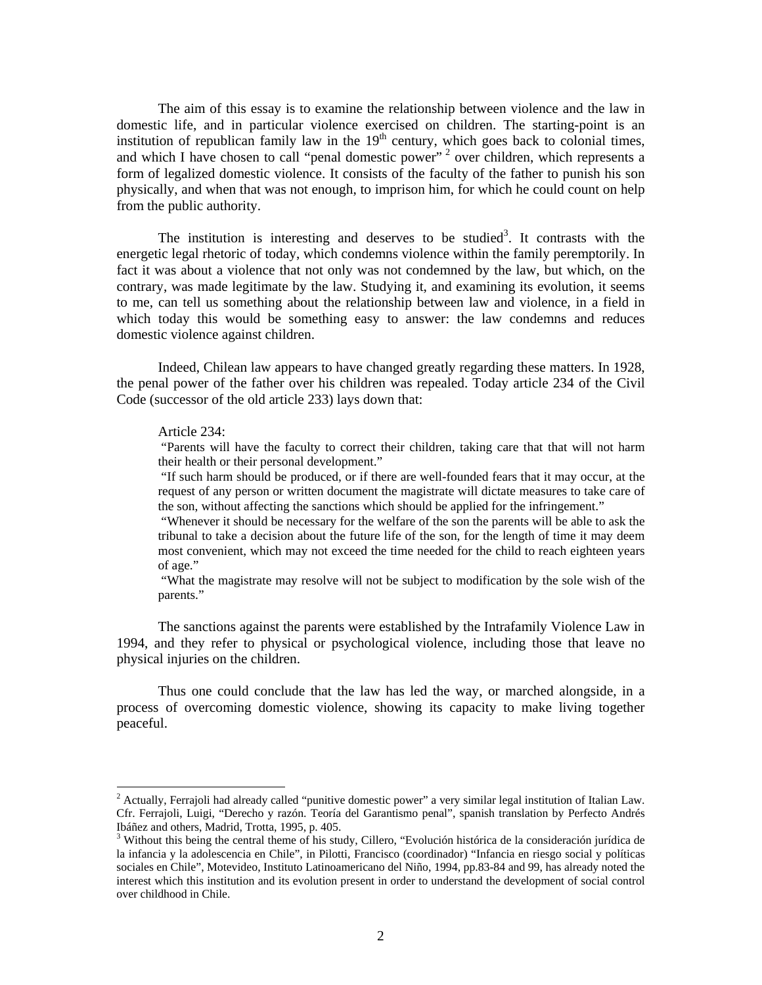The aim of this essay is to examine the relationship between violence and the law in domestic life, and in particular violence exercised on children. The starting-point is an institution of republican family law in the  $19<sup>th</sup>$  century, which goes back to colonial times, and which I have chosen to call "penal domestic power"<sup>2</sup> over children, which represents a form of legalized domestic violence. It consists of the faculty of the father to punish his son physically, and when that was not enough, to imprison him, for which he could count on help from the public authority.

The institution is interesting and deserves to be studied<sup>3</sup>. It contrasts with the energetic legal rhetoric of today, which condemns violence within the family peremptorily. In fact it was about a violence that not only was not condemned by the law, but which, on the contrary, was made legitimate by the law. Studying it, and examining its evolution, it seems to me, can tell us something about the relationship between law and violence, in a field in which today this would be something easy to answer: the law condemns and reduces domestic violence against children.

Indeed, Chilean law appears to have changed greatly regarding these matters. In 1928, the penal power of the father over his children was repealed. Today article 234 of the Civil Code (successor of the old article 233) lays down that:

#### Article 234:

-

 "Parents will have the faculty to correct their children, taking care that that will not harm their health or their personal development."

 "If such harm should be produced, or if there are well-founded fears that it may occur, at the request of any person or written document the magistrate will dictate measures to take care of the son, without affecting the sanctions which should be applied for the infringement."

 "Whenever it should be necessary for the welfare of the son the parents will be able to ask the tribunal to take a decision about the future life of the son, for the length of time it may deem most convenient, which may not exceed the time needed for the child to reach eighteen years of age."

 "What the magistrate may resolve will not be subject to modification by the sole wish of the parents."

The sanctions against the parents were established by the Intrafamily Violence Law in 1994, and they refer to physical or psychological violence, including those that leave no physical injuries on the children.

Thus one could conclude that the law has led the way, or marched alongside, in a process of overcoming domestic violence, showing its capacity to make living together peaceful.

<sup>&</sup>lt;sup>2</sup> Actually, Ferrajoli had already called "punitive domestic power" a very similar legal institution of Italian Law. Cfr. Ferrajoli, Luigi, "Derecho y razón. Teoría del Garantismo penal", spanish translation by Perfecto Andrés Ibáñez and others, Madrid, Trotta, 1995, p. 405.

<sup>&</sup>lt;sup>3</sup> Without this being the central theme of his study, Cillero, "Evolución histórica de la consideración jurídica de la infancia y la adolescencia en Chile", in Pilotti, Francisco (coordinador) "Infancia en riesgo social y políticas sociales en Chile", Motevideo, Instituto Latinoamericano del Niño, 1994, pp.83-84 and 99, has already noted the interest which this institution and its evolution present in order to understand the development of social control over childhood in Chile.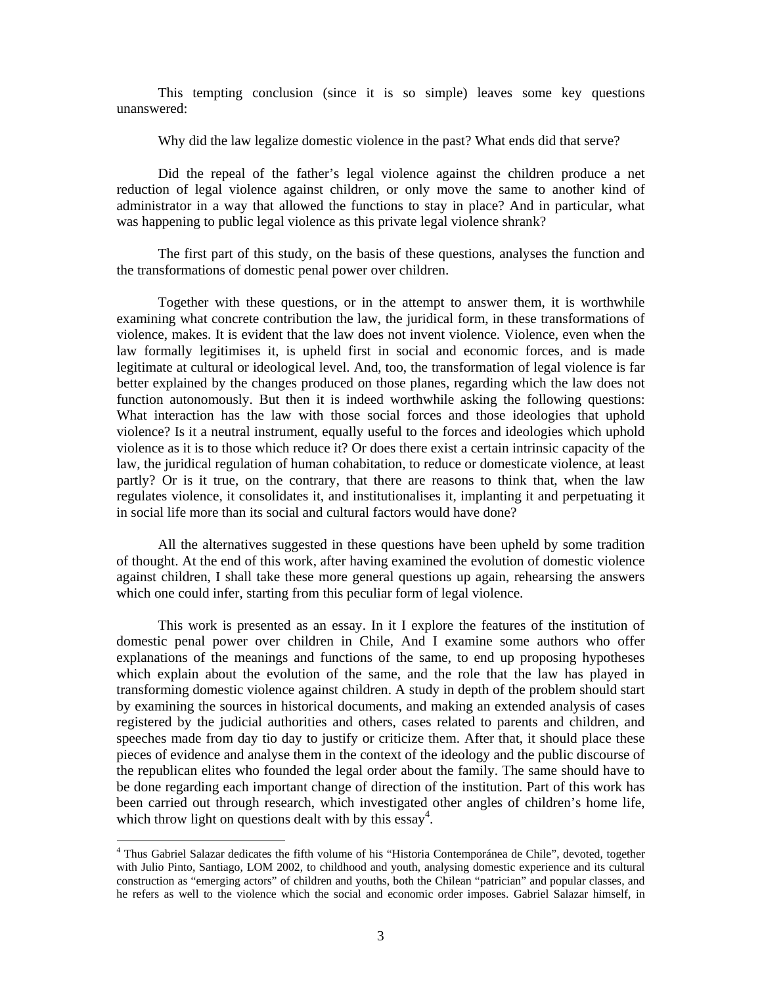This tempting conclusion (since it is so simple) leaves some key questions unanswered:

Why did the law legalize domestic violence in the past? What ends did that serve?

Did the repeal of the father's legal violence against the children produce a net reduction of legal violence against children, or only move the same to another kind of administrator in a way that allowed the functions to stay in place? And in particular, what was happening to public legal violence as this private legal violence shrank?

The first part of this study, on the basis of these questions, analyses the function and the transformations of domestic penal power over children.

 Together with these questions, or in the attempt to answer them, it is worthwhile examining what concrete contribution the law, the juridical form, in these transformations of violence, makes. It is evident that the law does not invent violence. Violence, even when the law formally legitimises it, is upheld first in social and economic forces, and is made legitimate at cultural or ideological level. And, too, the transformation of legal violence is far better explained by the changes produced on those planes, regarding which the law does not function autonomously. But then it is indeed worthwhile asking the following questions: What interaction has the law with those social forces and those ideologies that uphold violence? Is it a neutral instrument, equally useful to the forces and ideologies which uphold violence as it is to those which reduce it? Or does there exist a certain intrinsic capacity of the law, the juridical regulation of human cohabitation, to reduce or domesticate violence, at least partly? Or is it true, on the contrary, that there are reasons to think that, when the law regulates violence, it consolidates it, and institutionalises it, implanting it and perpetuating it in social life more than its social and cultural factors would have done?

 All the alternatives suggested in these questions have been upheld by some tradition of thought. At the end of this work, after having examined the evolution of domestic violence against children, I shall take these more general questions up again, rehearsing the answers which one could infer, starting from this peculiar form of legal violence.

 This work is presented as an essay. In it I explore the features of the institution of domestic penal power over children in Chile, And I examine some authors who offer explanations of the meanings and functions of the same, to end up proposing hypotheses which explain about the evolution of the same, and the role that the law has played in transforming domestic violence against children. A study in depth of the problem should start by examining the sources in historical documents, and making an extended analysis of cases registered by the judicial authorities and others, cases related to parents and children, and speeches made from day tio day to justify or criticize them. After that, it should place these pieces of evidence and analyse them in the context of the ideology and the public discourse of the republican elites who founded the legal order about the family. The same should have to be done regarding each important change of direction of the institution. Part of this work has been carried out through research, which investigated other angles of children's home life, which throw light on questions dealt with by this  $\text{essay}^4$ .

<sup>&</sup>lt;sup>4</sup> Thus Gabriel Salazar dedicates the fifth volume of his "Historia Contemporánea de Chile", devoted, together with Julio Pinto, Santiago, LOM 2002, to childhood and youth, analysing domestic experience and its cultural construction as "emerging actors" of children and youths, both the Chilean "patrician" and popular classes, and he refers as well to the violence which the social and economic order imposes. Gabriel Salazar himself, in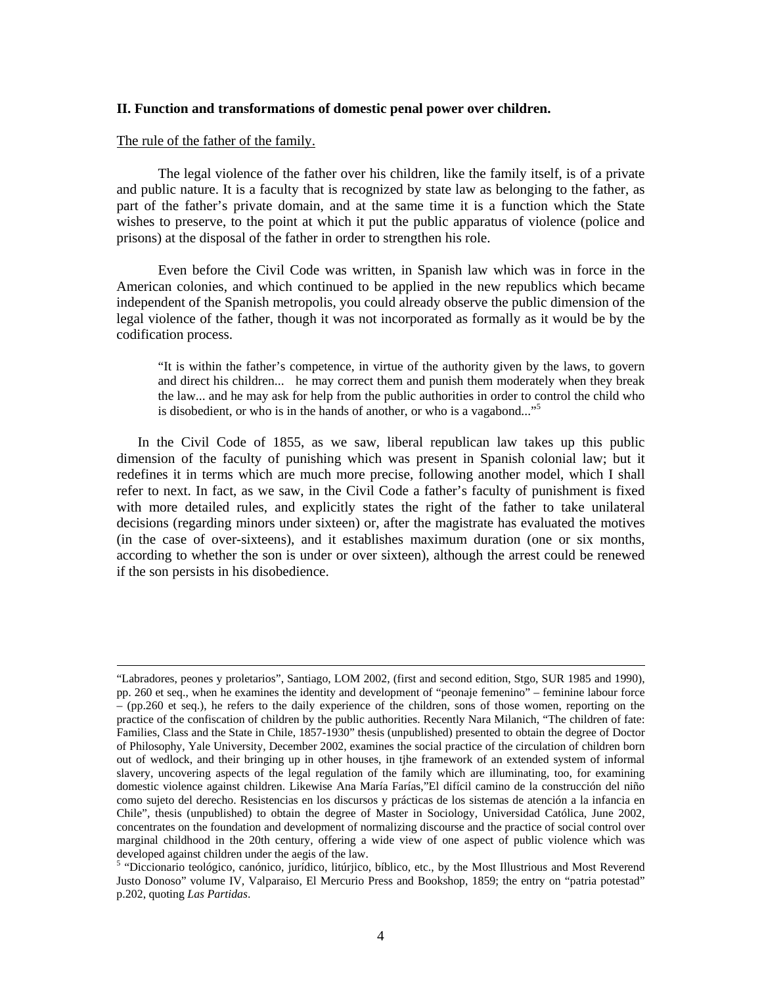# **II. Function and transformations of domestic penal power over children.**

### The rule of the father of the family.

The legal violence of the father over his children, like the family itself, is of a private and public nature. It is a faculty that is recognized by state law as belonging to the father, as part of the father's private domain, and at the same time it is a function which the State wishes to preserve, to the point at which it put the public apparatus of violence (police and prisons) at the disposal of the father in order to strengthen his role.

Even before the Civil Code was written, in Spanish law which was in force in the American colonies, and which continued to be applied in the new republics which became independent of the Spanish metropolis, you could already observe the public dimension of the legal violence of the father, though it was not incorporated as formally as it would be by the codification process.

"It is within the father's competence, in virtue of the authority given by the laws, to govern and direct his children... he may correct them and punish them moderately when they break the law... and he may ask for help from the public authorities in order to control the child who is disobedient, or who is in the hands of another, or who is a vagabond..."<sup>5</sup>

 In the Civil Code of 1855, as we saw, liberal republican law takes up this public dimension of the faculty of punishing which was present in Spanish colonial law; but it redefines it in terms which are much more precise, following another model, which I shall refer to next. In fact, as we saw, in the Civil Code a father's faculty of punishment is fixed with more detailed rules, and explicitly states the right of the father to take unilateral decisions (regarding minors under sixteen) or, after the magistrate has evaluated the motives (in the case of over-sixteens), and it establishes maximum duration (one or six months, according to whether the son is under or over sixteen), although the arrest could be renewed if the son persists in his disobedience.

 <sup>&</sup>quot;Labradores, peones y proletarios", Santiago, LOM 2002, (first and second edition, Stgo, SUR 1985 and 1990), pp. 260 et seq., when he examines the identity and development of "peonaje femenino" – feminine labour force – (pp.260 et seq.), he refers to the daily experience of the children, sons of those women, reporting on the practice of the confiscation of children by the public authorities. Recently Nara Milanich, "The children of fate: Families, Class and the State in Chile, 1857-1930" thesis (unpublished) presented to obtain the degree of Doctor of Philosophy, Yale University, December 2002, examines the social practice of the circulation of children born out of wedlock, and their bringing up in other houses, in tjhe framework of an extended system of informal slavery, uncovering aspects of the legal regulation of the family which are illuminating, too, for examining domestic violence against children. Likewise Ana María Farías,"El difícil camino de la construcción del niño como sujeto del derecho. Resistencias en los discursos y prácticas de los sistemas de atención a la infancia en Chile", thesis (unpublished) to obtain the degree of Master in Sociology, Universidad Católica, June 2002, concentrates on the foundation and development of normalizing discourse and the practice of social control over marginal childhood in the 20th century, offering a wide view of one aspect of public violence which was developed against children under the aegis of the law.

<sup>&</sup>lt;sup>5</sup> "Diccionario teológico, canónico, jurídico, litúrjico, bíblico, etc., by the Most Illustrious and Most Reverend Justo Donoso" volume IV, Valparaiso, El Mercurio Press and Bookshop, 1859; the entry on "patria potestad" p.202, quoting *Las Partidas*.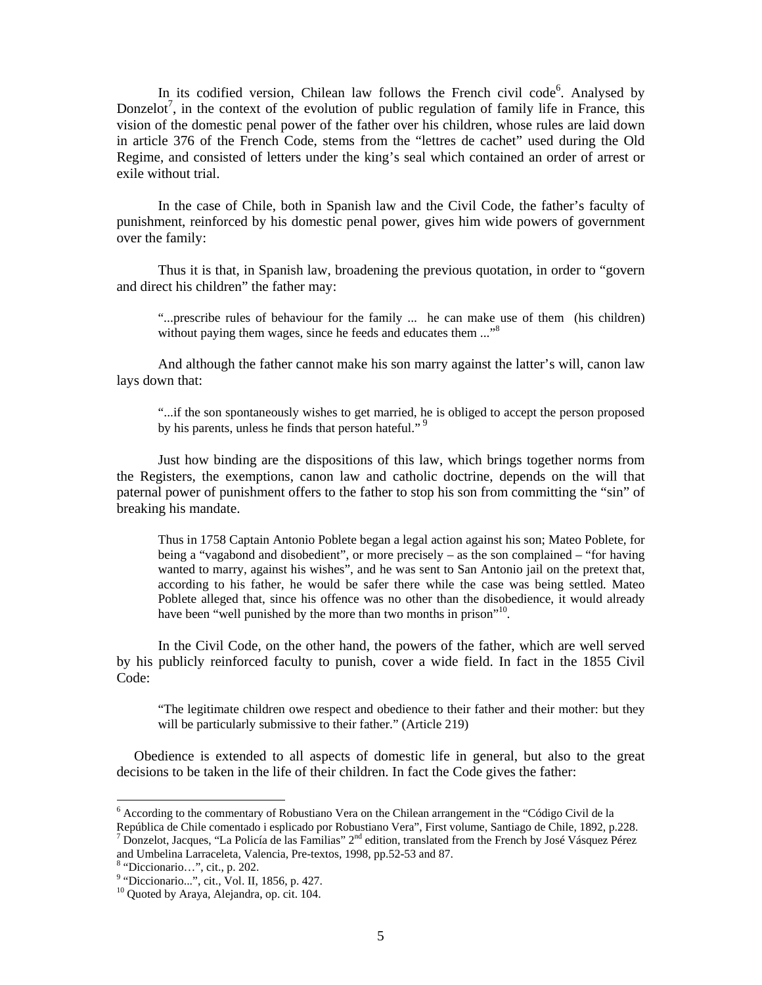In its codified version, Chilean law follows the French civil code<sup>6</sup>. Analysed by Donzelot<sup>7</sup>, in the context of the evolution of public regulation of family life in France, this vision of the domestic penal power of the father over his children, whose rules are laid down in article 376 of the French Code, stems from the "lettres de cachet" used during the Old Regime, and consisted of letters under the king's seal which contained an order of arrest or exile without trial.

In the case of Chile, both in Spanish law and the Civil Code, the father's faculty of punishment, reinforced by his domestic penal power, gives him wide powers of government over the family:

Thus it is that, in Spanish law, broadening the previous quotation, in order to "govern and direct his children" the father may:

"...prescribe rules of behaviour for the family ... he can make use of them (his children) without paying them wages, since he feeds and educates them ..."<sup>8</sup>

And although the father cannot make his son marry against the latter's will, canon law lays down that:

"...if the son spontaneously wishes to get married, he is obliged to accept the person proposed by his parents, unless he finds that person hateful."<sup>9</sup>

Just how binding are the dispositions of this law, which brings together norms from the Registers, the exemptions, canon law and catholic doctrine, depends on the will that paternal power of punishment offers to the father to stop his son from committing the "sin" of breaking his mandate.

Thus in 1758 Captain Antonio Poblete began a legal action against his son; Mateo Poblete, for being a "vagabond and disobedient", or more precisely – as the son complained – "for having wanted to marry, against his wishes", and he was sent to San Antonio jail on the pretext that, according to his father, he would be safer there while the case was being settled. Mateo Poblete alleged that, since his offence was no other than the disobedience, it would already have been "well punished by the more than two months in prison"<sup>10</sup>.

In the Civil Code, on the other hand, the powers of the father, which are well served by his publicly reinforced faculty to punish, cover a wide field. In fact in the 1855 Civil Code:

"The legitimate children owe respect and obedience to their father and their mother: but they will be particularly submissive to their father." (Article 219)

 Obedience is extended to all aspects of domestic life in general, but also to the great decisions to be taken in the life of their children. In fact the Code gives the father:

<sup>&</sup>lt;sup>6</sup> According to the commentary of Robustiano Vera on the Chilean arrangement in the "Código Civil de la República de Chile comentado i esplicado por Robustiano Vera", First volume, Santiago de Chile, 1892, p.228.

<sup>&</sup>lt;sup>7</sup> Donzelot, Jacques, "La Policía de las Familias"  $2^{nd}$  edition, translated from the French by José Vásquez Pérez and Umbelina Larraceleta, Valencia, Pre-textos, 1998, pp.52-53 and 87.

<sup>&</sup>lt;sup>8</sup> "Diccionario...", cit., p. 202.<br><sup>9</sup> "Diccionario...", cit., Vol. II, 1856, p. 427.

<sup>&</sup>lt;sup>10</sup> Quoted by Araya, Alejandra, op. cit. 104.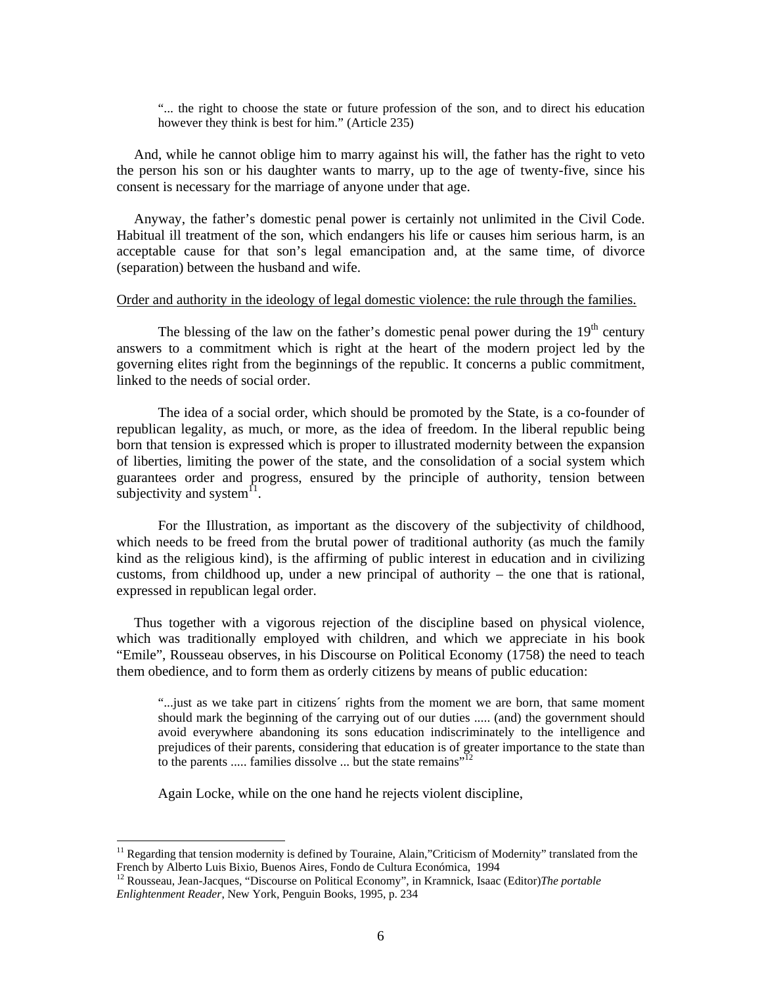"... the right to choose the state or future profession of the son, and to direct his education however they think is best for him." (Article 235)

 And, while he cannot oblige him to marry against his will, the father has the right to veto the person his son or his daughter wants to marry, up to the age of twenty-five, since his consent is necessary for the marriage of anyone under that age.

 Anyway, the father's domestic penal power is certainly not unlimited in the Civil Code. Habitual ill treatment of the son, which endangers his life or causes him serious harm, is an acceptable cause for that son's legal emancipation and, at the same time, of divorce (separation) between the husband and wife.

#### Order and authority in the ideology of legal domestic violence: the rule through the families.

The blessing of the law on the father's domestic penal power during the  $19<sup>th</sup>$  century answers to a commitment which is right at the heart of the modern project led by the governing elites right from the beginnings of the republic. It concerns a public commitment, linked to the needs of social order.

The idea of a social order, which should be promoted by the State, is a co-founder of republican legality, as much, or more, as the idea of freedom. In the liberal republic being born that tension is expressed which is proper to illustrated modernity between the expansion of liberties, limiting the power of the state, and the consolidation of a social system which guarantees order and progress, ensured by the principle of authority, tension between subjectivity and system $<sup>11</sup>$ .</sup>

For the Illustration, as important as the discovery of the subjectivity of childhood, which needs to be freed from the brutal power of traditional authority (as much the family kind as the religious kind), is the affirming of public interest in education and in civilizing customs, from childhood up, under a new principal of authority – the one that is rational, expressed in republican legal order.

 Thus together with a vigorous rejection of the discipline based on physical violence, which was traditionally employed with children, and which we appreciate in his book "Emile", Rousseau observes, in his Discourse on Political Economy (1758) the need to teach them obedience, and to form them as orderly citizens by means of public education:

"...just as we take part in citizens´ rights from the moment we are born, that same moment should mark the beginning of the carrying out of our duties ..... (and) the government should avoid everywhere abandoning its sons education indiscriminately to the intelligence and prejudices of their parents, considering that education is of greater importance to the state than to the parents ..... families dissolve ... but the state remains"<sup>12</sup>

Again Locke, while on the one hand he rejects violent discipline,

<sup>&</sup>lt;sup>11</sup> Regarding that tension modernity is defined by Touraine, Alain,"Criticism of Modernity" translated from the French by Alberto Luis Bixio, Buenos Aires, Fondo de Cultura Económica, 1994

<sup>12</sup> Rousseau, Jean-Jacques, "Discourse on Political Economy", in Kramnick, Isaac (Editor)*The portable Enlightenment Reader*, New York, Penguin Books, 1995, p. 234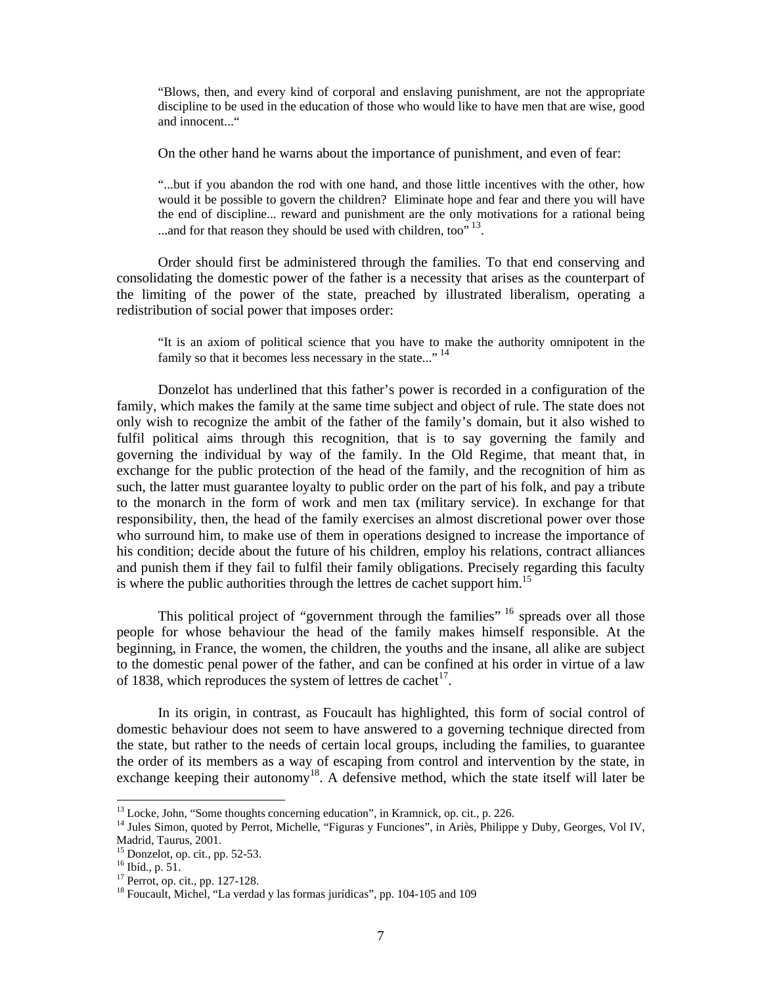"Blows, then, and every kind of corporal and enslaving punishment, are not the appropriate discipline to be used in the education of those who would like to have men that are wise, good and innocent..."

On the other hand he warns about the importance of punishment, and even of fear:

"...but if you abandon the rod with one hand, and those little incentives with the other, how would it be possible to govern the children? Eliminate hope and fear and there you will have the end of discipline... reward and punishment are the only motivations for a rational being ...and for that reason they should be used with children, too".<sup>13</sup>.

Order should first be administered through the families. To that end conserving and consolidating the domestic power of the father is a necessity that arises as the counterpart of the limiting of the power of the state, preached by illustrated liberalism, operating a redistribution of social power that imposes order:

"It is an axiom of political science that you have to make the authority omnipotent in the family so that it becomes less necessary in the state..."<sup>14</sup>

Donzelot has underlined that this father's power is recorded in a configuration of the family, which makes the family at the same time subject and object of rule. The state does not only wish to recognize the ambit of the father of the family's domain, but it also wished to fulfil political aims through this recognition, that is to say governing the family and governing the individual by way of the family. In the Old Regime, that meant that, in exchange for the public protection of the head of the family, and the recognition of him as such, the latter must guarantee loyalty to public order on the part of his folk, and pay a tribute to the monarch in the form of work and men tax (military service). In exchange for that responsibility, then, the head of the family exercises an almost discretional power over those who surround him, to make use of them in operations designed to increase the importance of his condition; decide about the future of his children, employ his relations, contract alliances and punish them if they fail to fulfil their family obligations. Precisely regarding this faculty is where the public authorities through the lettres de cachet support him.<sup>15</sup>

This political project of "government through the families" <sup>16</sup> spreads over all those people for whose behaviour the head of the family makes himself responsible. At the beginning, in France, the women, the children, the youths and the insane, all alike are subject to the domestic penal power of the father, and can be confined at his order in virtue of a law of 1838, which reproduces the system of lettres de cachet  $\frac{17}{16}$ .

In its origin, in contrast, as Foucault has highlighted, this form of social control of domestic behaviour does not seem to have answered to a governing technique directed from the state, but rather to the needs of certain local groups, including the families, to guarantee the order of its members as a way of escaping from control and intervention by the state, in exchange keeping their autonomy<sup>18</sup>. A defensive method, which the state itself will later be

 $^{13}$  Locke, John, "Some thoughts concerning education", in Kramnick, op. cit., p. 226.

<sup>&</sup>lt;sup>14</sup> Jules Simon, quoted by Perrot, Michelle, "Figuras y Funciones", in Ariès, Philippe y Duby, Georges, Vol IV, Madrid, Taurus, 2001.

<sup>15</sup> Donzelot, op. cit., pp. 52-53.

<sup>16</sup> Ibíd., p. 51.

<sup>17</sup> Perrot, op. cit., pp. 127-128.

<sup>&</sup>lt;sup>18</sup> Foucault, Michel, "La verdad y las formas jurídicas", pp. 104-105 and 109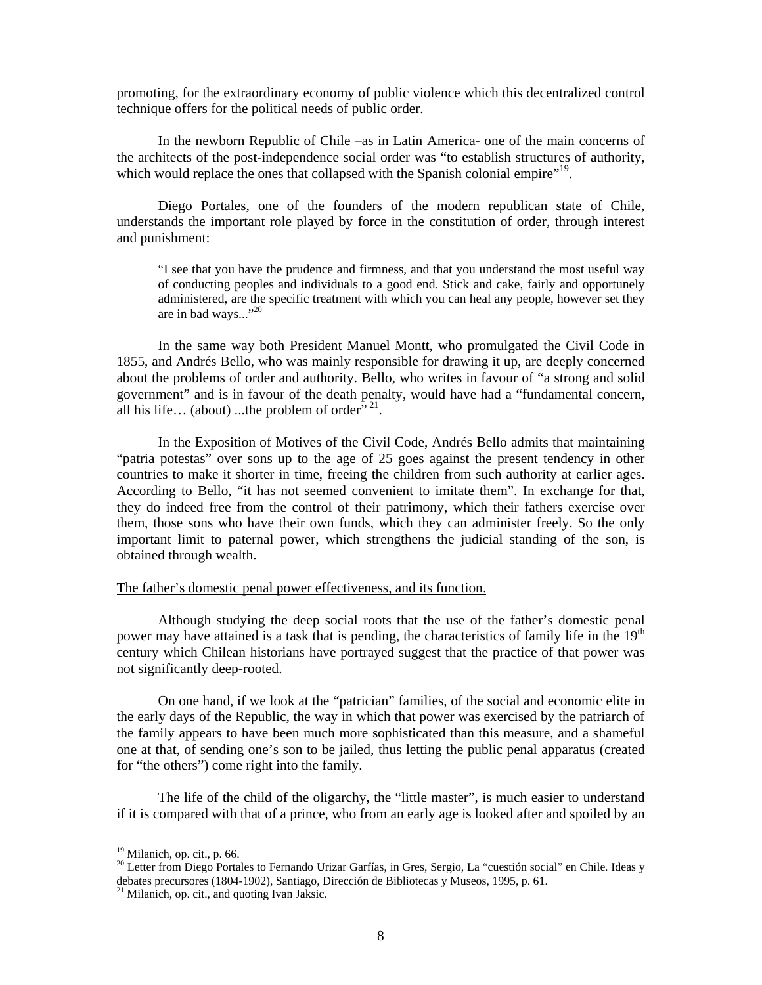promoting, for the extraordinary economy of public violence which this decentralized control technique offers for the political needs of public order.

In the newborn Republic of Chile –as in Latin America- one of the main concerns of the architects of the post-independence social order was "to establish structures of authority, which would replace the ones that collapsed with the Spanish colonial empire"<sup>19</sup>.

Diego Portales, one of the founders of the modern republican state of Chile, understands the important role played by force in the constitution of order, through interest and punishment:

"I see that you have the prudence and firmness, and that you understand the most useful way of conducting peoples and individuals to a good end. Stick and cake, fairly and opportunely administered, are the specific treatment with which you can heal any people, however set they are in bad ways..."<sup>20</sup>

In the same way both President Manuel Montt, who promulgated the Civil Code in 1855, and Andrés Bello, who was mainly responsible for drawing it up, are deeply concerned about the problems of order and authority. Bello, who writes in favour of "a strong and solid government" and is in favour of the death penalty, would have had a "fundamental concern, all his life... (about) ...the problem of order<sup> $\dot{p}$ </sup>.

In the Exposition of Motives of the Civil Code, Andrés Bello admits that maintaining "patria potestas" over sons up to the age of 25 goes against the present tendency in other countries to make it shorter in time, freeing the children from such authority at earlier ages. According to Bello, "it has not seemed convenient to imitate them". In exchange for that, they do indeed free from the control of their patrimony, which their fathers exercise over them, those sons who have their own funds, which they can administer freely. So the only important limit to paternal power, which strengthens the judicial standing of the son, is obtained through wealth.

# The father's domestic penal power effectiveness, and its function.

Although studying the deep social roots that the use of the father's domestic penal power may have attained is a task that is pending, the characteristics of family life in the  $19<sup>th</sup>$ century which Chilean historians have portrayed suggest that the practice of that power was not significantly deep-rooted.

On one hand, if we look at the "patrician" families, of the social and economic elite in the early days of the Republic, the way in which that power was exercised by the patriarch of the family appears to have been much more sophisticated than this measure, and a shameful one at that, of sending one's son to be jailed, thus letting the public penal apparatus (created for "the others") come right into the family.

The life of the child of the oligarchy, the "little master", is much easier to understand if it is compared with that of a prince, who from an early age is looked after and spoiled by an

 $19$  Milanich, op. cit., p. 66.

<sup>&</sup>lt;sup>20</sup> Letter from Diego Portales to Fernando Urizar Garfías, in Gres, Sergio, La "cuestión social" en Chile. Ideas y debates precursores (1804-1902), Santiago, Dirección de Bibliotecas y Museos, 1995, p. 61. 21 Milanich, op. cit., and quoting Ivan Jaksic.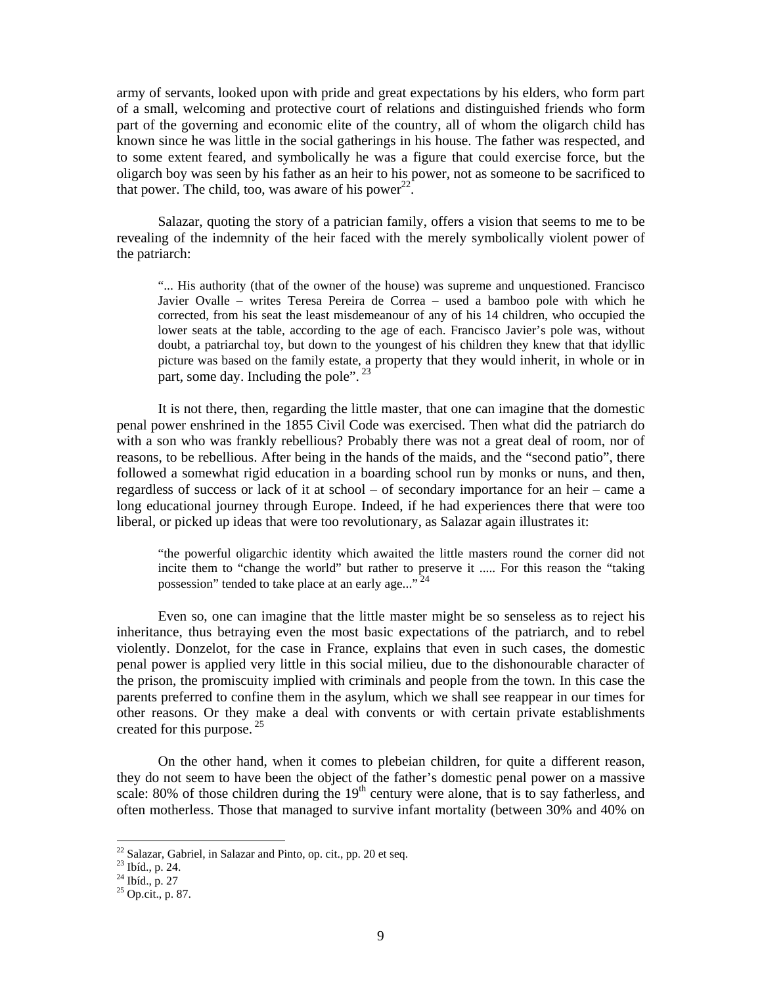army of servants, looked upon with pride and great expectations by his elders, who form part of a small, welcoming and protective court of relations and distinguished friends who form part of the governing and economic elite of the country, all of whom the oligarch child has known since he was little in the social gatherings in his house. The father was respected, and to some extent feared, and symbolically he was a figure that could exercise force, but the oligarch boy was seen by his father as an heir to his power, not as someone to be sacrificed to that power. The child, too, was aware of his power $^{22}$ .

Salazar, quoting the story of a patrician family, offers a vision that seems to me to be revealing of the indemnity of the heir faced with the merely symbolically violent power of the patriarch:

"... His authority (that of the owner of the house) was supreme and unquestioned. Francisco Javier Ovalle – writes Teresa Pereira de Correa – used a bamboo pole with which he corrected, from his seat the least misdemeanour of any of his 14 children, who occupied the lower seats at the table, according to the age of each. Francisco Javier's pole was, without doubt, a patriarchal toy, but down to the youngest of his children they knew that that idyllic picture was based on the family estate, a property that they would inherit, in whole or in part, some day. Including the pole".<sup>23</sup>

It is not there, then, regarding the little master, that one can imagine that the domestic penal power enshrined in the 1855 Civil Code was exercised. Then what did the patriarch do with a son who was frankly rebellious? Probably there was not a great deal of room, nor of reasons, to be rebellious. After being in the hands of the maids, and the "second patio", there followed a somewhat rigid education in a boarding school run by monks or nuns, and then, regardless of success or lack of it at school – of secondary importance for an heir – came a long educational journey through Europe. Indeed, if he had experiences there that were too liberal, or picked up ideas that were too revolutionary, as Salazar again illustrates it:

"the powerful oligarchic identity which awaited the little masters round the corner did not incite them to "change the world" but rather to preserve it ..... For this reason the "taking possession" tended to take place at an early age..."<sup>24</sup>

Even so, one can imagine that the little master might be so senseless as to reject his inheritance, thus betraying even the most basic expectations of the patriarch, and to rebel violently. Donzelot, for the case in France, explains that even in such cases, the domestic penal power is applied very little in this social milieu, due to the dishonourable character of the prison, the promiscuity implied with criminals and people from the town. In this case the parents preferred to confine them in the asylum, which we shall see reappear in our times for other reasons. Or they make a deal with convents or with certain private establishments created for this purpose.  $25$ 

On the other hand, when it comes to plebeian children, for quite a different reason, they do not seem to have been the object of the father's domestic penal power on a massive scale: 80% of those children during the  $19<sup>th</sup>$  century were alone, that is to say fatherless, and often motherless. Those that managed to survive infant mortality (between 30% and 40% on

 $22$  Salazar, Gabriel, in Salazar and Pinto, op. cit., pp. 20 et seq.

<sup>23</sup> Ibíd., p. 24.

<sup>24</sup> Ibíd., p. 27

<sup>25</sup> Op.cit., p. 87.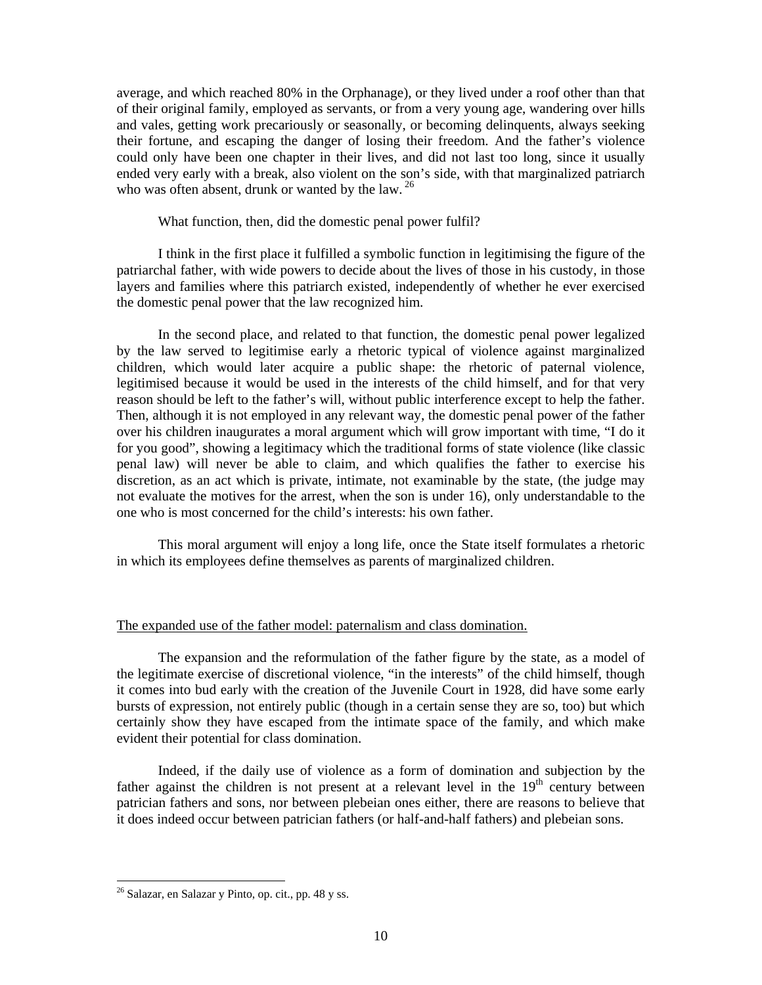average, and which reached 80% in the Orphanage), or they lived under a roof other than that of their original family, employed as servants, or from a very young age, wandering over hills and vales, getting work precariously or seasonally, or becoming delinquents, always seeking their fortune, and escaping the danger of losing their freedom. And the father's violence could only have been one chapter in their lives, and did not last too long, since it usually ended very early with a break, also violent on the son's side, with that marginalized patriarch who was often absent, drunk or wanted by the law.  $26$ 

What function, then, did the domestic penal power fulfil?

I think in the first place it fulfilled a symbolic function in legitimising the figure of the patriarchal father, with wide powers to decide about the lives of those in his custody, in those layers and families where this patriarch existed, independently of whether he ever exercised the domestic penal power that the law recognized him.

In the second place, and related to that function, the domestic penal power legalized by the law served to legitimise early a rhetoric typical of violence against marginalized children, which would later acquire a public shape: the rhetoric of paternal violence, legitimised because it would be used in the interests of the child himself, and for that very reason should be left to the father's will, without public interference except to help the father. Then, although it is not employed in any relevant way, the domestic penal power of the father over his children inaugurates a moral argument which will grow important with time, "I do it for you good", showing a legitimacy which the traditional forms of state violence (like classic penal law) will never be able to claim, and which qualifies the father to exercise his discretion, as an act which is private, intimate, not examinable by the state, (the judge may not evaluate the motives for the arrest, when the son is under 16), only understandable to the one who is most concerned for the child's interests: his own father.

This moral argument will enjoy a long life, once the State itself formulates a rhetoric in which its employees define themselves as parents of marginalized children.

### The expanded use of the father model: paternalism and class domination.

The expansion and the reformulation of the father figure by the state, as a model of the legitimate exercise of discretional violence, "in the interests" of the child himself, though it comes into bud early with the creation of the Juvenile Court in 1928, did have some early bursts of expression, not entirely public (though in a certain sense they are so, too) but which certainly show they have escaped from the intimate space of the family, and which make evident their potential for class domination.

Indeed, if the daily use of violence as a form of domination and subjection by the father against the children is not present at a relevant level in the  $19<sup>th</sup>$  century between patrician fathers and sons, nor between plebeian ones either, there are reasons to believe that it does indeed occur between patrician fathers (or half-and-half fathers) and plebeian sons.

 $26$  Salazar, en Salazar y Pinto, op. cit., pp. 48 y ss.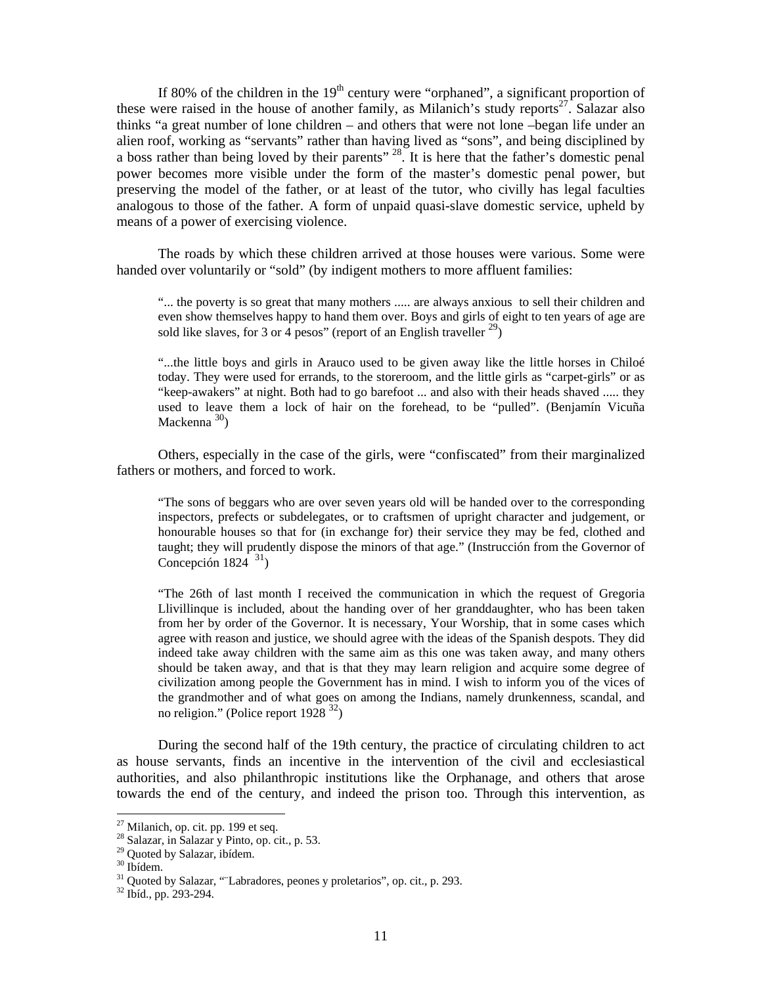If 80% of the children in the  $19<sup>th</sup>$  century were "orphaned", a significant proportion of these were raised in the house of another family, as Milanich's study reports<sup>27</sup>. Salazar also thinks "a great number of lone children – and others that were not lone –began life under an alien roof, working as "servants" rather than having lived as "sons", and being disciplined by a boss rather than being loved by their parents" <sup>28</sup>. It is here that the father's domestic penal power becomes more visible under the form of the master's domestic penal power, but preserving the model of the father, or at least of the tutor, who civilly has legal faculties analogous to those of the father. A form of unpaid quasi-slave domestic service, upheld by means of a power of exercising violence.

The roads by which these children arrived at those houses were various. Some were handed over voluntarily or "sold" (by indigent mothers to more affluent families:

"... the poverty is so great that many mothers ..... are always anxious to sell their children and even show themselves happy to hand them over. Boys and girls of eight to ten years of age are sold like slaves, for 3 or 4 pesos" (report of an English traveller  $^{29}$ )

"...the little boys and girls in Arauco used to be given away like the little horses in Chiloé today. They were used for errands, to the storeroom, and the little girls as "carpet-girls" or as "keep-awakers" at night. Both had to go barefoot ... and also with their heads shaved ..... they used to leave them a lock of hair on the forehead, to be "pulled". (Benjamín Vicuña Mackenna  $30$ 

Others, especially in the case of the girls, were "confiscated" from their marginalized fathers or mothers, and forced to work.

"The sons of beggars who are over seven years old will be handed over to the corresponding inspectors, prefects or subdelegates, or to craftsmen of upright character and judgement, or honourable houses so that for (in exchange for) their service they may be fed, clothed and taught; they will prudently dispose the minors of that age." (Instrucción from the Governor of Concepción 1824 $31$ )

"The 26th of last month I received the communication in which the request of Gregoria Llivillinque is included, about the handing over of her granddaughter, who has been taken from her by order of the Governor. It is necessary, Your Worship, that in some cases which agree with reason and justice, we should agree with the ideas of the Spanish despots. They did indeed take away children with the same aim as this one was taken away, and many others should be taken away, and that is that they may learn religion and acquire some degree of civilization among people the Government has in mind. I wish to inform you of the vices of the grandmother and of what goes on among the Indians, namely drunkenness, scandal, and no religion." (Police report 1928 32)

During the second half of the 19th century, the practice of circulating children to act as house servants, finds an incentive in the intervention of the civil and ecclesiastical authorities, and also philanthropic institutions like the Orphanage, and others that arose towards the end of the century, and indeed the prison too. Through this intervention, as

 $27$  Milanich, op. cit. pp. 199 et seq.

<sup>28</sup> Salazar, in Salazar y Pinto, op. cit., p. 53.

<sup>29</sup> Quoted by Salazar, ibídem.

<sup>30</sup> Ibídem.

 $31$  Quoted by Salazar, ""Labradores, peones y proletarios", op. cit., p. 293.  $32$  Ibíd., pp. 293-294.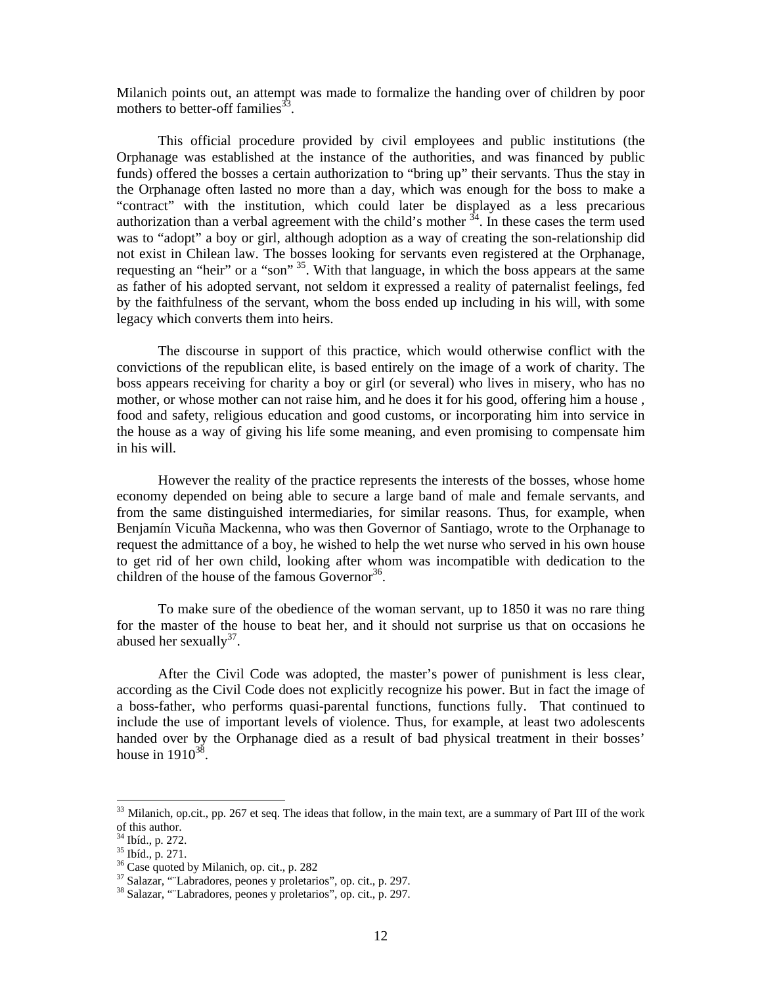Milanich points out, an attempt was made to formalize the handing over of children by poor mothers to better-off families<sup>33</sup>.

This official procedure provided by civil employees and public institutions (the Orphanage was established at the instance of the authorities, and was financed by public funds) offered the bosses a certain authorization to "bring up" their servants. Thus the stay in the Orphanage often lasted no more than a day, which was enough for the boss to make a "contract" with the institution, which could later be displayed as a less precarious authorization than a verbal agreement with the child's mother  $34$ . In these cases the term used was to "adopt" a boy or girl, although adoption as a way of creating the son-relationship did not exist in Chilean law. The bosses looking for servants even registered at the Orphanage, requesting an "heir" or a "son" 35. With that language, in which the boss appears at the same as father of his adopted servant, not seldom it expressed a reality of paternalist feelings, fed by the faithfulness of the servant, whom the boss ended up including in his will, with some legacy which converts them into heirs.

The discourse in support of this practice, which would otherwise conflict with the convictions of the republican elite, is based entirely on the image of a work of charity. The boss appears receiving for charity a boy or girl (or several) who lives in misery, who has no mother, or whose mother can not raise him, and he does it for his good, offering him a house , food and safety, religious education and good customs, or incorporating him into service in the house as a way of giving his life some meaning, and even promising to compensate him in his will.

However the reality of the practice represents the interests of the bosses, whose home economy depended on being able to secure a large band of male and female servants, and from the same distinguished intermediaries, for similar reasons. Thus, for example, when Benjamín Vicuña Mackenna, who was then Governor of Santiago, wrote to the Orphanage to request the admittance of a boy, he wished to help the wet nurse who served in his own house to get rid of her own child, looking after whom was incompatible with dedication to the children of the house of the famous Governor $36$ .

To make sure of the obedience of the woman servant, up to 1850 it was no rare thing for the master of the house to beat her, and it should not surprise us that on occasions he abused her sexually $37$ .

After the Civil Code was adopted, the master's power of punishment is less clear, according as the Civil Code does not explicitly recognize his power. But in fact the image of a boss-father, who performs quasi-parental functions, functions fully. That continued to include the use of important levels of violence. Thus, for example, at least two adolescents handed over by the Orphanage died as a result of bad physical treatment in their bosses' house in  $1910^{38}$ .

<sup>&</sup>lt;sup>33</sup> Milanich, op.cit., pp. 267 et seq. The ideas that follow, in the main text, are a summary of Part III of the work of this author.

<sup>34</sup> Ibíd., p. 272.

<sup>35</sup> Ibíd., p. 271.

<sup>&</sup>lt;sup>36</sup> Case quoted by Milanich, op. cit., p. 282

<sup>37</sup> Salazar, "¨Labradores, peones y proletarios", op. cit., p. 297.

<sup>38</sup> Salazar, "¨Labradores, peones y proletarios", op. cit., p. 297.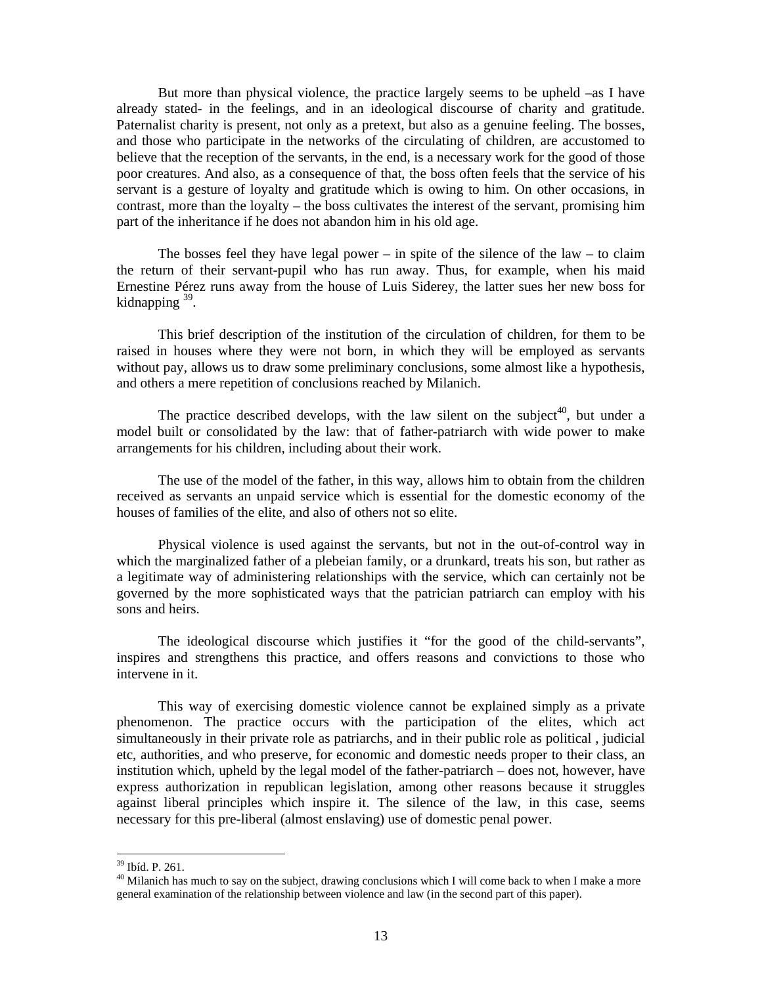But more than physical violence, the practice largely seems to be upheld –as I have already stated- in the feelings, and in an ideological discourse of charity and gratitude. Paternalist charity is present, not only as a pretext, but also as a genuine feeling. The bosses, and those who participate in the networks of the circulating of children, are accustomed to believe that the reception of the servants, in the end, is a necessary work for the good of those poor creatures. And also, as a consequence of that, the boss often feels that the service of his servant is a gesture of loyalty and gratitude which is owing to him. On other occasions, in contrast, more than the loyalty – the boss cultivates the interest of the servant, promising him part of the inheritance if he does not abandon him in his old age.

The bosses feel they have legal power – in spite of the silence of the law – to claim the return of their servant-pupil who has run away. Thus, for example, when his maid Ernestine Pérez runs away from the house of Luis Siderey, the latter sues her new boss for kidnapping 39.

This brief description of the institution of the circulation of children, for them to be raised in houses where they were not born, in which they will be employed as servants without pay, allows us to draw some preliminary conclusions, some almost like a hypothesis, and others a mere repetition of conclusions reached by Milanich.

The practice described develops, with the law silent on the subject<sup>40</sup>, but under a model built or consolidated by the law: that of father-patriarch with wide power to make arrangements for his children, including about their work.

The use of the model of the father, in this way, allows him to obtain from the children received as servants an unpaid service which is essential for the domestic economy of the houses of families of the elite, and also of others not so elite.

Physical violence is used against the servants, but not in the out-of-control way in which the marginalized father of a plebeian family, or a drunkard, treats his son, but rather as a legitimate way of administering relationships with the service, which can certainly not be governed by the more sophisticated ways that the patrician patriarch can employ with his sons and heirs.

The ideological discourse which justifies it "for the good of the child-servants", inspires and strengthens this practice, and offers reasons and convictions to those who intervene in it.

This way of exercising domestic violence cannot be explained simply as a private phenomenon. The practice occurs with the participation of the elites, which act simultaneously in their private role as patriarchs, and in their public role as political , judicial etc, authorities, and who preserve, for economic and domestic needs proper to their class, an institution which, upheld by the legal model of the father-patriarch – does not, however, have express authorization in republican legislation, among other reasons because it struggles against liberal principles which inspire it. The silence of the law, in this case, seems necessary for this pre-liberal (almost enslaving) use of domestic penal power.

<sup>39</sup> Ibíd. P. 261.

<sup>&</sup>lt;sup>40</sup> Milanich has much to say on the subject, drawing conclusions which I will come back to when I make a more general examination of the relationship between violence and law (in the second part of this paper).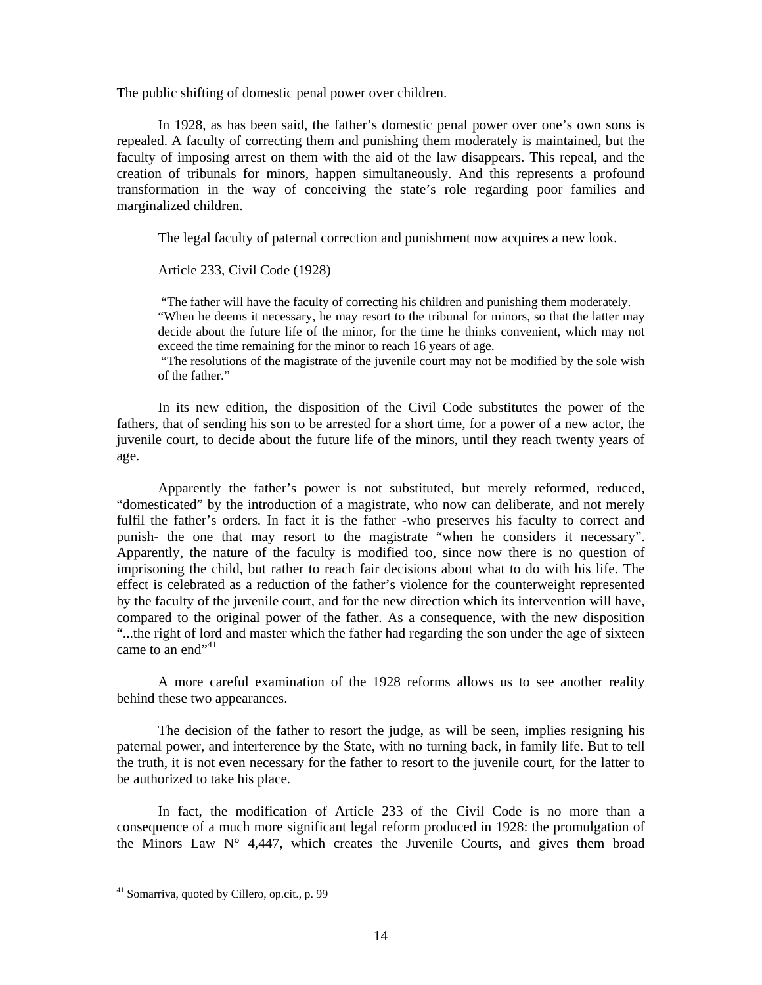### The public shifting of domestic penal power over children.

In 1928, as has been said, the father's domestic penal power over one's own sons is repealed. A faculty of correcting them and punishing them moderately is maintained, but the faculty of imposing arrest on them with the aid of the law disappears. This repeal, and the creation of tribunals for minors, happen simultaneously. And this represents a profound transformation in the way of conceiving the state's role regarding poor families and marginalized children.

The legal faculty of paternal correction and punishment now acquires a new look.

Article 233, Civil Code (1928)

 "The father will have the faculty of correcting his children and punishing them moderately. "When he deems it necessary, he may resort to the tribunal for minors, so that the latter may decide about the future life of the minor, for the time he thinks convenient, which may not exceed the time remaining for the minor to reach 16 years of age.

 "The resolutions of the magistrate of the juvenile court may not be modified by the sole wish of the father."

In its new edition, the disposition of the Civil Code substitutes the power of the fathers, that of sending his son to be arrested for a short time, for a power of a new actor, the juvenile court, to decide about the future life of the minors, until they reach twenty years of age.

Apparently the father's power is not substituted, but merely reformed, reduced, "domesticated" by the introduction of a magistrate, who now can deliberate, and not merely fulfil the father's orders. In fact it is the father -who preserves his faculty to correct and punish- the one that may resort to the magistrate "when he considers it necessary". Apparently, the nature of the faculty is modified too, since now there is no question of imprisoning the child, but rather to reach fair decisions about what to do with his life. The effect is celebrated as a reduction of the father's violence for the counterweight represented by the faculty of the juvenile court, and for the new direction which its intervention will have, compared to the original power of the father. As a consequence, with the new disposition "...the right of lord and master which the father had regarding the son under the age of sixteen came to an end $"^{41}$ 

A more careful examination of the 1928 reforms allows us to see another reality behind these two appearances.

The decision of the father to resort the judge, as will be seen, implies resigning his paternal power, and interference by the State, with no turning back, in family life. But to tell the truth, it is not even necessary for the father to resort to the juvenile court, for the latter to be authorized to take his place.

In fact, the modification of Article 233 of the Civil Code is no more than a consequence of a much more significant legal reform produced in 1928: the promulgation of the Minors Law  $N^{\circ}$  4,447, which creates the Juvenile Courts, and gives them broad

<sup>&</sup>lt;sup>41</sup> Somarriva, quoted by Cillero, op.cit., p. 99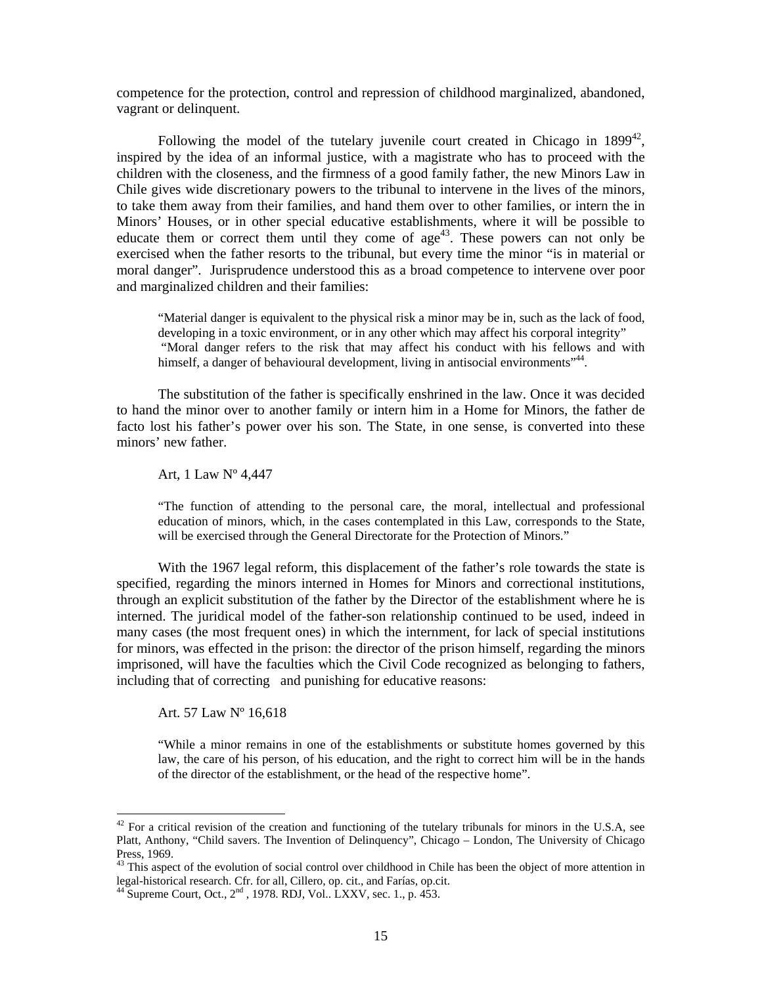competence for the protection, control and repression of childhood marginalized, abandoned, vagrant or delinquent.

Following the model of the tutelary juvenile court created in Chicago in  $1899^{42}$ , inspired by the idea of an informal justice, with a magistrate who has to proceed with the children with the closeness, and the firmness of a good family father, the new Minors Law in Chile gives wide discretionary powers to the tribunal to intervene in the lives of the minors, to take them away from their families, and hand them over to other families, or intern the in Minors' Houses, or in other special educative establishments, where it will be possible to educate them or correct them until they come of  $age<sup>43</sup>$ . These powers can not only be exercised when the father resorts to the tribunal, but every time the minor "is in material or moral danger". Jurisprudence understood this as a broad competence to intervene over poor and marginalized children and their families:

"Material danger is equivalent to the physical risk a minor may be in, such as the lack of food, developing in a toxic environment, or in any other which may affect his corporal integrity" "Moral danger refers to the risk that may affect his conduct with his fellows and with himself, a danger of behavioural development, living in antisocial environments"<sup>44</sup>.

The substitution of the father is specifically enshrined in the law. Once it was decided to hand the minor over to another family or intern him in a Home for Minors, the father de facto lost his father's power over his son. The State, in one sense, is converted into these minors' new father.

Art, 1 Law Nº 4,447

"The function of attending to the personal care, the moral, intellectual and professional education of minors, which, in the cases contemplated in this Law, corresponds to the State, will be exercised through the General Directorate for the Protection of Minors."

With the 1967 legal reform, this displacement of the father's role towards the state is specified, regarding the minors interned in Homes for Minors and correctional institutions, through an explicit substitution of the father by the Director of the establishment where he is interned. The juridical model of the father-son relationship continued to be used, indeed in many cases (the most frequent ones) in which the internment, for lack of special institutions for minors, was effected in the prison: the director of the prison himself, regarding the minors imprisoned, will have the faculties which the Civil Code recognized as belonging to fathers, including that of correcting and punishing for educative reasons:

Art. 57 Law Nº 16,618

-

"While a minor remains in one of the establishments or substitute homes governed by this law, the care of his person, of his education, and the right to correct him will be in the hands of the director of the establishment, or the head of the respective home".

 $42$  For a critical revision of the creation and functioning of the tutelary tribunals for minors in the U.S.A, see Platt, Anthony, "Child savers. The Invention of Delinquency", Chicago – London, The University of Chicago Press, 1969.

 $43$  This aspect of the evolution of social control over childhood in Chile has been the object of more attention in legal-historical research. Cfr. for all, Cillero, op. cit., and Farías, op.cit.

 $^{44}$  Supreme Court, Oct.,  $2<sup>nd</sup>$ , 1978. RDJ, Vol.. LXXV, sec. 1., p. 453.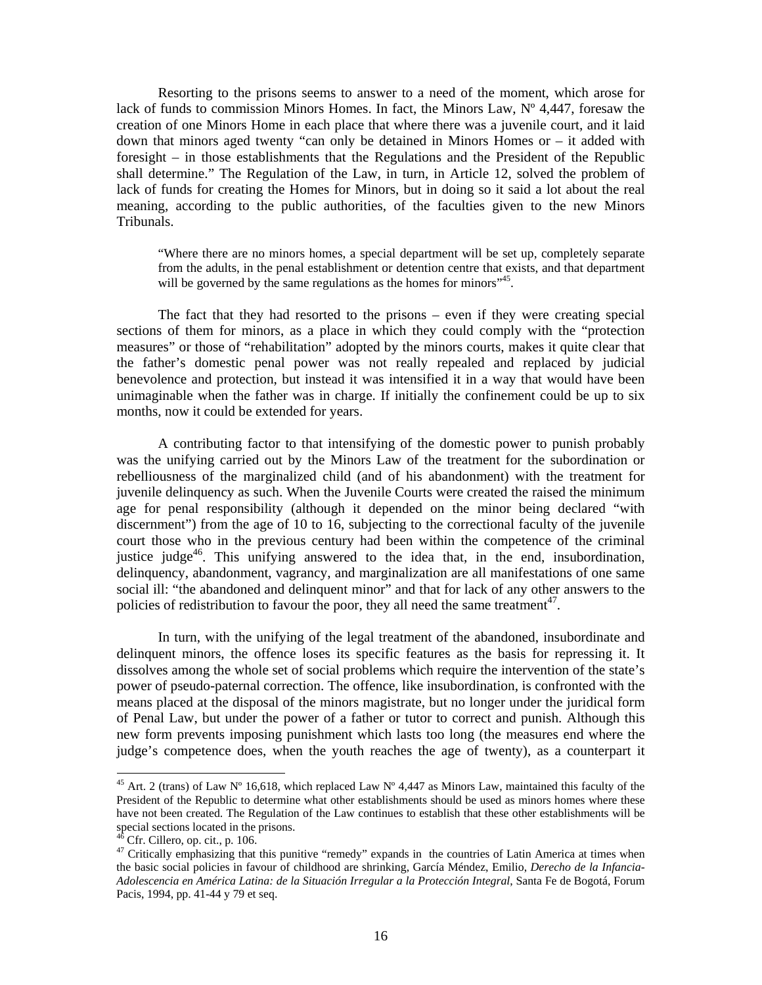Resorting to the prisons seems to answer to a need of the moment, which arose for lack of funds to commission Minors Homes. In fact, the Minors Law, Nº 4,447, foresaw the creation of one Minors Home in each place that where there was a juvenile court, and it laid down that minors aged twenty "can only be detained in Minors Homes or – it added with foresight – in those establishments that the Regulations and the President of the Republic shall determine." The Regulation of the Law, in turn, in Article 12, solved the problem of lack of funds for creating the Homes for Minors, but in doing so it said a lot about the real meaning, according to the public authorities, of the faculties given to the new Minors Tribunals.

"Where there are no minors homes, a special department will be set up, completely separate from the adults, in the penal establishment or detention centre that exists, and that department will be governed by the same regulations as the homes for minors<sup>"45</sup>.

The fact that they had resorted to the prisons – even if they were creating special sections of them for minors, as a place in which they could comply with the "protection measures" or those of "rehabilitation" adopted by the minors courts, makes it quite clear that the father's domestic penal power was not really repealed and replaced by judicial benevolence and protection, but instead it was intensified it in a way that would have been unimaginable when the father was in charge. If initially the confinement could be up to six months, now it could be extended for years.

A contributing factor to that intensifying of the domestic power to punish probably was the unifying carried out by the Minors Law of the treatment for the subordination or rebelliousness of the marginalized child (and of his abandonment) with the treatment for juvenile delinquency as such. When the Juvenile Courts were created the raised the minimum age for penal responsibility (although it depended on the minor being declared "with discernment") from the age of 10 to 16, subjecting to the correctional faculty of the juvenile court those who in the previous century had been within the competence of the criminal justice judge<sup>46</sup>. This unifying answered to the idea that, in the end, insubordination, delinquency, abandonment, vagrancy, and marginalization are all manifestations of one same social ill: "the abandoned and delinquent minor" and that for lack of any other answers to the policies of redistribution to favour the poor, they all need the same treatment $47$ .

In turn, with the unifying of the legal treatment of the abandoned, insubordinate and delinquent minors, the offence loses its specific features as the basis for repressing it. It dissolves among the whole set of social problems which require the intervention of the state's power of pseudo-paternal correction. The offence, like insubordination, is confronted with the means placed at the disposal of the minors magistrate, but no longer under the juridical form of Penal Law, but under the power of a father or tutor to correct and punish. Although this new form prevents imposing punishment which lasts too long (the measures end where the judge's competence does, when the youth reaches the age of twenty), as a counterpart it

<sup>&</sup>lt;sup>45</sup> Art. 2 (trans) of Law N° 16,618, which replaced Law N° 4,447 as Minors Law, maintained this faculty of the President of the Republic to determine what other establishments should be used as minors homes where these have not been created. The Regulation of the Law continues to establish that these other establishments will be special sections located in the prisons.

 $\overrightarrow{C}$  Cfr. Cillero, op. cit., p. 106.

<sup>&</sup>lt;sup>47</sup> Critically emphasizing that this punitive "remedy" expands in the countries of Latin America at times when the basic social policies in favour of childhood are shrinking, García Méndez, Emilio, *Derecho de la Infancia-Adolescencia en América Latina: de la Situación Irregular a la Protección Integral*, Santa Fe de Bogotá, Forum Pacis, 1994, pp. 41-44 y 79 et seq.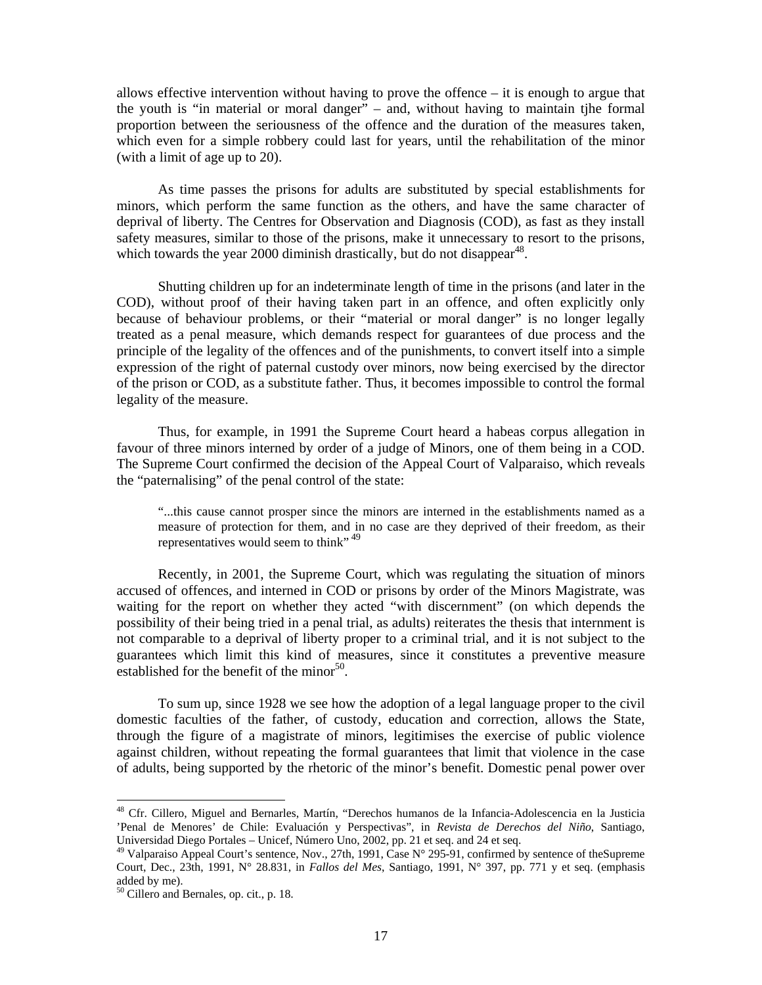allows effective intervention without having to prove the offence  $-$  it is enough to argue that the youth is "in material or moral danger" – and, without having to maintain tjhe formal proportion between the seriousness of the offence and the duration of the measures taken, which even for a simple robbery could last for years, until the rehabilitation of the minor (with a limit of age up to 20).

 As time passes the prisons for adults are substituted by special establishments for minors, which perform the same function as the others, and have the same character of deprival of liberty. The Centres for Observation and Diagnosis (COD), as fast as they install safety measures, similar to those of the prisons, make it unnecessary to resort to the prisons, which towards the year 2000 diminish drastically, but do not disappear<sup>48</sup>.

Shutting children up for an indeterminate length of time in the prisons (and later in the COD), without proof of their having taken part in an offence, and often explicitly only because of behaviour problems, or their "material or moral danger" is no longer legally treated as a penal measure, which demands respect for guarantees of due process and the principle of the legality of the offences and of the punishments, to convert itself into a simple expression of the right of paternal custody over minors, now being exercised by the director of the prison or COD, as a substitute father. Thus, it becomes impossible to control the formal legality of the measure.

Thus, for example, in 1991 the Supreme Court heard a habeas corpus allegation in favour of three minors interned by order of a judge of Minors, one of them being in a COD. The Supreme Court confirmed the decision of the Appeal Court of Valparaiso, which reveals the "paternalising" of the penal control of the state:

"...this cause cannot prosper since the minors are interned in the establishments named as a measure of protection for them, and in no case are they deprived of their freedom, as their representatives would seem to think"<sup>49</sup>

Recently, in 2001, the Supreme Court, which was regulating the situation of minors accused of offences, and interned in COD or prisons by order of the Minors Magistrate, was waiting for the report on whether they acted "with discernment" (on which depends the possibility of their being tried in a penal trial, as adults) reiterates the thesis that internment is not comparable to a deprival of liberty proper to a criminal trial, and it is not subject to the guarantees which limit this kind of measures, since it constitutes a preventive measure established for the benefit of the minor $50$ .

To sum up, since 1928 we see how the adoption of a legal language proper to the civil domestic faculties of the father, of custody, education and correction, allows the State, through the figure of a magistrate of minors, legitimises the exercise of public violence against children, without repeating the formal guarantees that limit that violence in the case of adults, being supported by the rhetoric of the minor's benefit. Domestic penal power over

<sup>48</sup> Cfr. Cillero, Miguel and Bernarles, Martín, "Derechos humanos de la Infancia-Adolescencia en la Justicia 'Penal de Menores' de Chile: Evaluación y Perspectivas", in *Revista de Derechos del Niño*, Santiago, Universidad Diego Portales – Unicef, Número Uno, 2002, pp. 21 et seq. and 24 et seq.

<sup>&</sup>lt;sup>49</sup> Valparaiso Appeal Court's sentence, Nov., 27th, 1991, Case N° 295-91, confirmed by sentence of theSupreme Court, Dec., 23th, 1991, N° 28.831, in *Fallos del Mes*, Santiago, 1991, N° 397, pp. 771 y et seq. (emphasis added by me).

<sup>50</sup> Cillero and Bernales, op. cit., p. 18.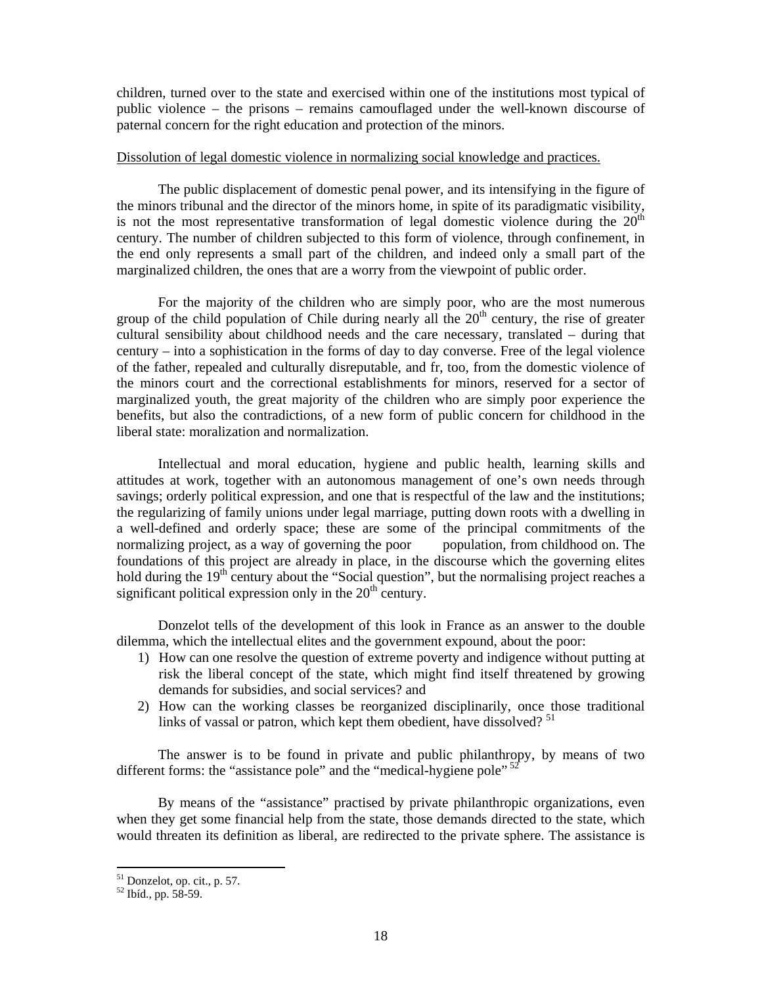children, turned over to the state and exercised within one of the institutions most typical of public violence – the prisons – remains camouflaged under the well-known discourse of paternal concern for the right education and protection of the minors.

### Dissolution of legal domestic violence in normalizing social knowledge and practices.

The public displacement of domestic penal power, and its intensifying in the figure of the minors tribunal and the director of the minors home, in spite of its paradigmatic visibility, is not the most representative transformation of legal domestic violence during the  $20<sup>th</sup>$ century. The number of children subjected to this form of violence, through confinement, in the end only represents a small part of the children, and indeed only a small part of the marginalized children, the ones that are a worry from the viewpoint of public order.

For the majority of the children who are simply poor, who are the most numerous group of the child population of Chile during nearly all the  $20<sup>th</sup>$  century, the rise of greater cultural sensibility about childhood needs and the care necessary, translated – during that century – into a sophistication in the forms of day to day converse. Free of the legal violence of the father, repealed and culturally disreputable, and fr, too, from the domestic violence of the minors court and the correctional establishments for minors, reserved for a sector of marginalized youth, the great majority of the children who are simply poor experience the benefits, but also the contradictions, of a new form of public concern for childhood in the liberal state: moralization and normalization.

Intellectual and moral education, hygiene and public health, learning skills and attitudes at work, together with an autonomous management of one's own needs through savings; orderly political expression, and one that is respectful of the law and the institutions; the regularizing of family unions under legal marriage, putting down roots with a dwelling in a well-defined and orderly space; these are some of the principal commitments of the normalizing project, as a way of governing the poor population, from childhood on. The foundations of this project are already in place, in the discourse which the governing elites hold during the  $19<sup>th</sup>$  century about the "Social question", but the normalising project reaches a significant political expression only in the  $20<sup>th</sup>$  century.

Donzelot tells of the development of this look in France as an answer to the double dilemma, which the intellectual elites and the government expound, about the poor:

- 1) How can one resolve the question of extreme poverty and indigence without putting at risk the liberal concept of the state, which might find itself threatened by growing demands for subsidies, and social services? and
- 2) How can the working classes be reorganized disciplinarily, once those traditional links of vassal or patron, which kept them obedient, have dissolved?  $51$

The answer is to be found in private and public philanthropy, by means of two different forms: the "assistance pole" and the "medical-hygiene pole" <sup>52</sup>

By means of the "assistance" practised by private philanthropic organizations, even when they get some financial help from the state, those demands directed to the state, which would threaten its definition as liberal, are redirected to the private sphere. The assistance is

<sup>51</sup> Donzelot, op. cit., p. 57.

<sup>52</sup> Ibíd., pp. 58-59.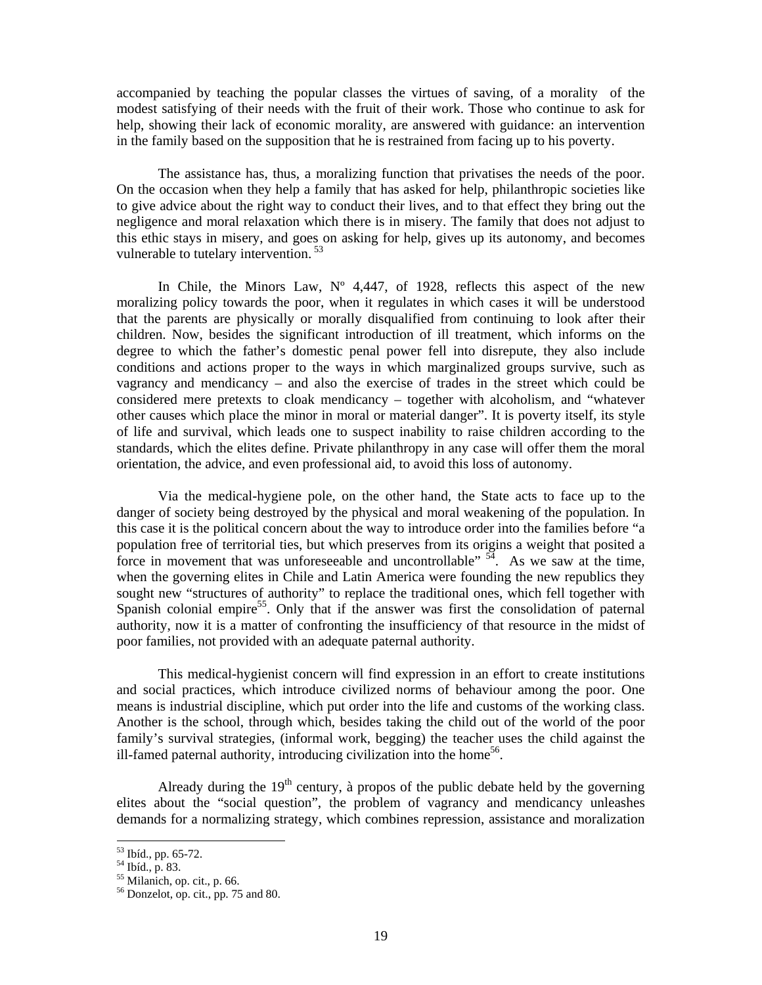accompanied by teaching the popular classes the virtues of saving, of a morality of the modest satisfying of their needs with the fruit of their work. Those who continue to ask for help, showing their lack of economic morality, are answered with guidance: an intervention in the family based on the supposition that he is restrained from facing up to his poverty.

The assistance has, thus, a moralizing function that privatises the needs of the poor. On the occasion when they help a family that has asked for help, philanthropic societies like to give advice about the right way to conduct their lives, and to that effect they bring out the negligence and moral relaxation which there is in misery. The family that does not adjust to this ethic stays in misery, and goes on asking for help, gives up its autonomy, and becomes vulnerable to tutelary intervention.<sup>53</sup>

In Chile, the Minors Law,  $N^{\circ}$  4,447, of 1928, reflects this aspect of the new moralizing policy towards the poor, when it regulates in which cases it will be understood that the parents are physically or morally disqualified from continuing to look after their children. Now, besides the significant introduction of ill treatment, which informs on the degree to which the father's domestic penal power fell into disrepute, they also include conditions and actions proper to the ways in which marginalized groups survive, such as vagrancy and mendicancy – and also the exercise of trades in the street which could be considered mere pretexts to cloak mendicancy – together with alcoholism, and "whatever other causes which place the minor in moral or material danger". It is poverty itself, its style of life and survival, which leads one to suspect inability to raise children according to the standards, which the elites define. Private philanthropy in any case will offer them the moral orientation, the advice, and even professional aid, to avoid this loss of autonomy.

Via the medical-hygiene pole, on the other hand, the State acts to face up to the danger of society being destroyed by the physical and moral weakening of the population. In this case it is the political concern about the way to introduce order into the families before "a population free of territorial ties, but which preserves from its origins a weight that posited a force in movement that was unforeseeable and uncontrollable"  $\frac{54}{9}$ . As we saw at the time, when the governing elites in Chile and Latin America were founding the new republics they sought new "structures of authority" to replace the traditional ones, which fell together with Spanish colonial empire<sup>55</sup>. Only that if the answer was first the consolidation of paternal authority, now it is a matter of confronting the insufficiency of that resource in the midst of poor families, not provided with an adequate paternal authority.

This medical-hygienist concern will find expression in an effort to create institutions and social practices, which introduce civilized norms of behaviour among the poor. One means is industrial discipline, which put order into the life and customs of the working class. Another is the school, through which, besides taking the child out of the world of the poor family's survival strategies, (informal work, begging) the teacher uses the child against the ill-famed paternal authority, introducing civilization into the home<sup>56</sup>.

Already during the  $19<sup>th</sup>$  century, à propos of the public debate held by the governing elites about the "social question", the problem of vagrancy and mendicancy unleashes demands for a normalizing strategy, which combines repression, assistance and moralization

<sup>53</sup> Ibíd., pp. 65-72.

<sup>54</sup> Ibíd., p. 83.

 $55$  Milanich, op. cit., p. 66.

<sup>56</sup> Donzelot, op. cit., pp. 75 and 80.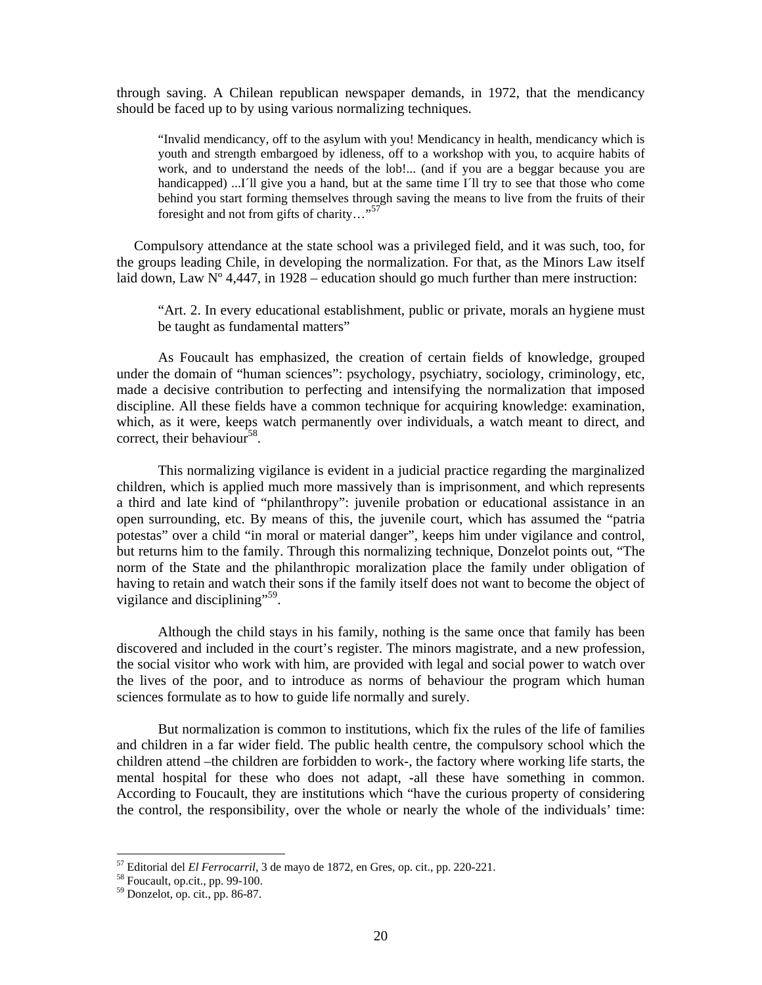through saving. A Chilean republican newspaper demands, in 1972, that the mendicancy should be faced up to by using various normalizing techniques.

"Invalid mendicancy, off to the asylum with you! Mendicancy in health, mendicancy which is youth and strength embargoed by idleness, off to a workshop with you, to acquire habits of work, and to understand the needs of the lob!... (and if you are a beggar because you are handicapped) ...I<sup>'</sup>ll give you a hand, but at the same time I<sup>'ll</sup> try to see that those who come behind you start forming themselves through saving the means to live from the fruits of their foresight and not from gifts of charity…"<sup>57</sup>

 Compulsory attendance at the state school was a privileged field, and it was such, too, for the groups leading Chile, in developing the normalization. For that, as the Minors Law itself laid down, Law  $N^{\circ}$  4,447, in 1928 – education should go much further than mere instruction:

"Art. 2. In every educational establishment, public or private, morals an hygiene must be taught as fundamental matters"

 As Foucault has emphasized, the creation of certain fields of knowledge, grouped under the domain of "human sciences": psychology, psychiatry, sociology, criminology, etc, made a decisive contribution to perfecting and intensifying the normalization that imposed discipline. All these fields have a common technique for acquiring knowledge: examination, which, as it were, keeps watch permanently over individuals, a watch meant to direct, and correct, their behaviour<sup>58</sup>.

 This normalizing vigilance is evident in a judicial practice regarding the marginalized children, which is applied much more massively than is imprisonment, and which represents a third and late kind of "philanthropy": juvenile probation or educational assistance in an open surrounding, etc. By means of this, the juvenile court, which has assumed the "patria potestas" over a child "in moral or material danger", keeps him under vigilance and control, but returns him to the family. Through this normalizing technique, Donzelot points out, "The norm of the State and the philanthropic moralization place the family under obligation of having to retain and watch their sons if the family itself does not want to become the object of vigilance and disciplining"<sup>59</sup>.

 Although the child stays in his family, nothing is the same once that family has been discovered and included in the court's register. The minors magistrate, and a new profession, the social visitor who work with him, are provided with legal and social power to watch over the lives of the poor, and to introduce as norms of behaviour the program which human sciences formulate as to how to guide life normally and surely.

 But normalization is common to institutions, which fix the rules of the life of families and children in a far wider field. The public health centre, the compulsory school which the children attend –the children are forbidden to work-, the factory where working life starts, the mental hospital for these who does not adapt, -all these have something in common. According to Foucault, they are institutions which "have the curious property of considering the control, the responsibility, over the whole or nearly the whole of the individuals' time:

<sup>&</sup>lt;sup>57</sup> Editorial del *El Ferrocarril*, 3 de mayo de 1872, en Gres, op. cit., pp. 220-221.<br><sup>58</sup> Foucault, op.cit., pp. 99-100.

 $58$  Foucault, op.cit., pp. 99-100.<br> $59$  Donzelot, op. cit., pp. 86-87.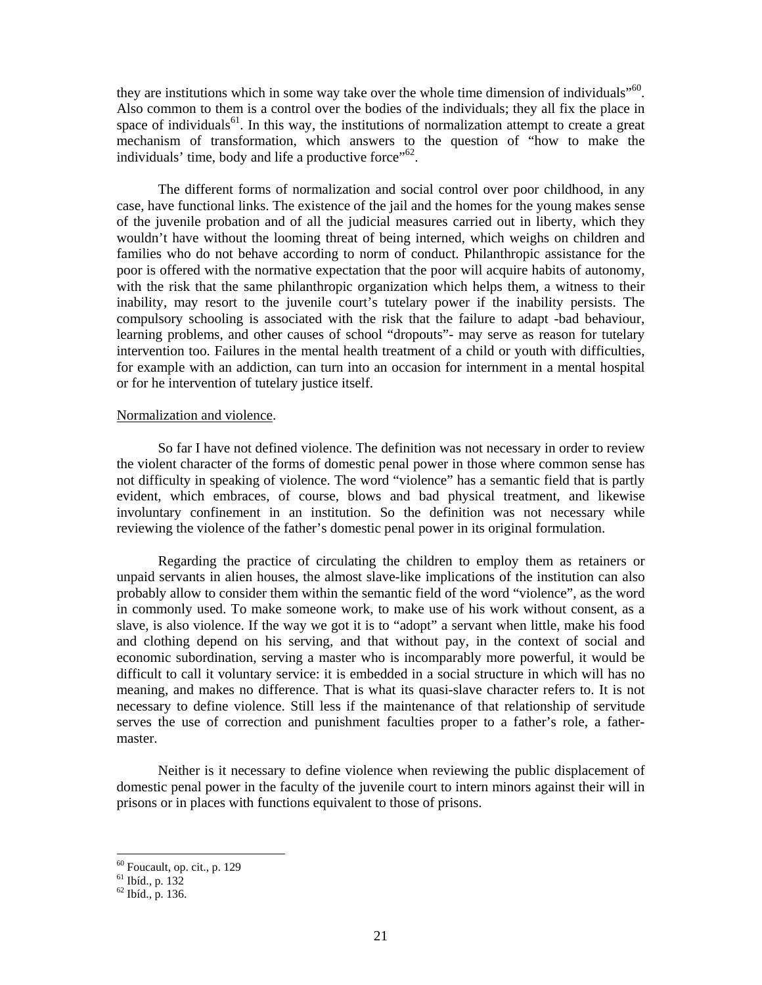they are institutions which in some way take over the whole time dimension of individuals"<sup>60</sup>. Also common to them is a control over the bodies of the individuals; they all fix the place in space of individuals<sup>61</sup>. In this way, the institutions of normalization attempt to create a great mechanism of transformation, which answers to the question of "how to make the individuals' time, body and life a productive force"<sup>62</sup>.

 The different forms of normalization and social control over poor childhood, in any case, have functional links. The existence of the jail and the homes for the young makes sense of the juvenile probation and of all the judicial measures carried out in liberty, which they wouldn't have without the looming threat of being interned, which weighs on children and families who do not behave according to norm of conduct. Philanthropic assistance for the poor is offered with the normative expectation that the poor will acquire habits of autonomy, with the risk that the same philanthropic organization which helps them, a witness to their inability, may resort to the juvenile court's tutelary power if the inability persists. The compulsory schooling is associated with the risk that the failure to adapt -bad behaviour, learning problems, and other causes of school "dropouts"- may serve as reason for tutelary intervention too. Failures in the mental health treatment of a child or youth with difficulties, for example with an addiction, can turn into an occasion for internment in a mental hospital or for he intervention of tutelary justice itself.

#### Normalization and violence.

 So far I have not defined violence. The definition was not necessary in order to review the violent character of the forms of domestic penal power in those where common sense has not difficulty in speaking of violence. The word "violence" has a semantic field that is partly evident, which embraces, of course, blows and bad physical treatment, and likewise involuntary confinement in an institution. So the definition was not necessary while reviewing the violence of the father's domestic penal power in its original formulation.

 Regarding the practice of circulating the children to employ them as retainers or unpaid servants in alien houses, the almost slave-like implications of the institution can also probably allow to consider them within the semantic field of the word "violence", as the word in commonly used. To make someone work, to make use of his work without consent, as a slave, is also violence. If the way we got it is to "adopt" a servant when little, make his food and clothing depend on his serving, and that without pay, in the context of social and economic subordination, serving a master who is incomparably more powerful, it would be difficult to call it voluntary service: it is embedded in a social structure in which will has no meaning, and makes no difference. That is what its quasi-slave character refers to. It is not necessary to define violence. Still less if the maintenance of that relationship of servitude serves the use of correction and punishment faculties proper to a father's role, a fathermaster.

 Neither is it necessary to define violence when reviewing the public displacement of domestic penal power in the faculty of the juvenile court to intern minors against their will in prisons or in places with functions equivalent to those of prisons.

 $60$  Foucault, op. cit., p. 129

 $61$  Ibíd., p. 132

<sup>62</sup> Ibíd., p. 136.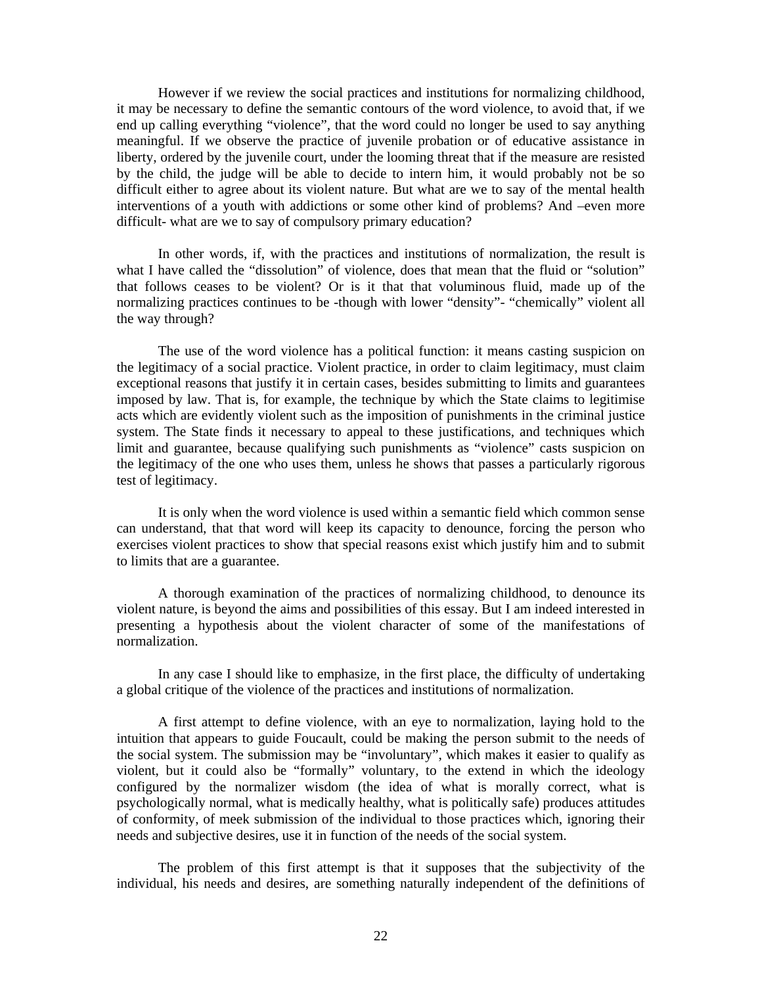However if we review the social practices and institutions for normalizing childhood, it may be necessary to define the semantic contours of the word violence, to avoid that, if we end up calling everything "violence", that the word could no longer be used to say anything meaningful. If we observe the practice of juvenile probation or of educative assistance in liberty, ordered by the juvenile court, under the looming threat that if the measure are resisted by the child, the judge will be able to decide to intern him, it would probably not be so difficult either to agree about its violent nature. But what are we to say of the mental health interventions of a youth with addictions or some other kind of problems? And –even more difficult- what are we to say of compulsory primary education?

 In other words, if, with the practices and institutions of normalization, the result is what I have called the "dissolution" of violence, does that mean that the fluid or "solution" that follows ceases to be violent? Or is it that that voluminous fluid, made up of the normalizing practices continues to be -though with lower "density"- "chemically" violent all the way through?

 The use of the word violence has a political function: it means casting suspicion on the legitimacy of a social practice. Violent practice, in order to claim legitimacy, must claim exceptional reasons that justify it in certain cases, besides submitting to limits and guarantees imposed by law. That is, for example, the technique by which the State claims to legitimise acts which are evidently violent such as the imposition of punishments in the criminal justice system. The State finds it necessary to appeal to these justifications, and techniques which limit and guarantee, because qualifying such punishments as "violence" casts suspicion on the legitimacy of the one who uses them, unless he shows that passes a particularly rigorous test of legitimacy.

 It is only when the word violence is used within a semantic field which common sense can understand, that that word will keep its capacity to denounce, forcing the person who exercises violent practices to show that special reasons exist which justify him and to submit to limits that are a guarantee.

 A thorough examination of the practices of normalizing childhood, to denounce its violent nature, is beyond the aims and possibilities of this essay. But I am indeed interested in presenting a hypothesis about the violent character of some of the manifestations of normalization.

 In any case I should like to emphasize, in the first place, the difficulty of undertaking a global critique of the violence of the practices and institutions of normalization.

 A first attempt to define violence, with an eye to normalization, laying hold to the intuition that appears to guide Foucault, could be making the person submit to the needs of the social system. The submission may be "involuntary", which makes it easier to qualify as violent, but it could also be "formally" voluntary, to the extend in which the ideology configured by the normalizer wisdom (the idea of what is morally correct, what is psychologically normal, what is medically healthy, what is politically safe) produces attitudes of conformity, of meek submission of the individual to those practices which, ignoring their needs and subjective desires, use it in function of the needs of the social system.

 The problem of this first attempt is that it supposes that the subjectivity of the individual, his needs and desires, are something naturally independent of the definitions of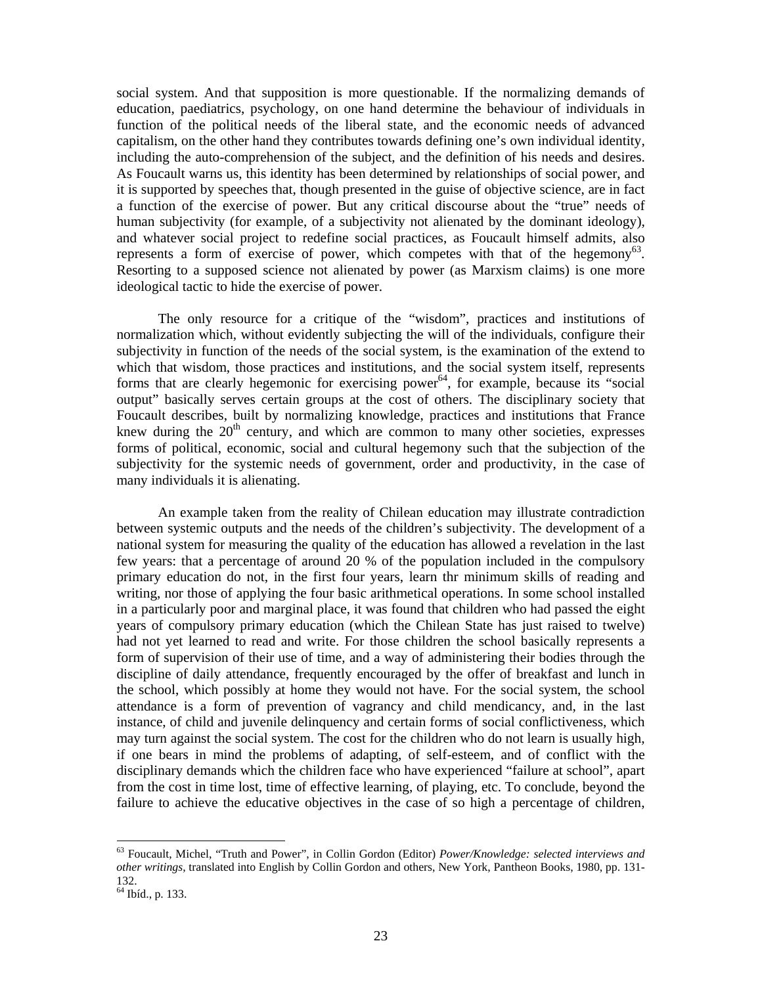social system. And that supposition is more questionable. If the normalizing demands of education, paediatrics, psychology, on one hand determine the behaviour of individuals in function of the political needs of the liberal state, and the economic needs of advanced capitalism, on the other hand they contributes towards defining one's own individual identity, including the auto-comprehension of the subject, and the definition of his needs and desires. As Foucault warns us, this identity has been determined by relationships of social power, and it is supported by speeches that, though presented in the guise of objective science, are in fact a function of the exercise of power. But any critical discourse about the "true" needs of human subjectivity (for example, of a subjectivity not alienated by the dominant ideology), and whatever social project to redefine social practices, as Foucault himself admits, also represents a form of exercise of power, which competes with that of the hegemony<sup>63</sup>. Resorting to a supposed science not alienated by power (as Marxism claims) is one more ideological tactic to hide the exercise of power.

 The only resource for a critique of the "wisdom", practices and institutions of normalization which, without evidently subjecting the will of the individuals, configure their subjectivity in function of the needs of the social system, is the examination of the extend to which that wisdom, those practices and institutions, and the social system itself, represents forms that are clearly hegemonic for exercising power<sup>64</sup>, for example, because its "social" output" basically serves certain groups at the cost of others. The disciplinary society that Foucault describes, built by normalizing knowledge, practices and institutions that France knew during the  $20<sup>th</sup>$  century, and which are common to many other societies, expresses forms of political, economic, social and cultural hegemony such that the subjection of the subjectivity for the systemic needs of government, order and productivity, in the case of many individuals it is alienating.

 An example taken from the reality of Chilean education may illustrate contradiction between systemic outputs and the needs of the children's subjectivity. The development of a national system for measuring the quality of the education has allowed a revelation in the last few years: that a percentage of around 20 % of the population included in the compulsory primary education do not, in the first four years, learn thr minimum skills of reading and writing, nor those of applying the four basic arithmetical operations. In some school installed in a particularly poor and marginal place, it was found that children who had passed the eight years of compulsory primary education (which the Chilean State has just raised to twelve) had not yet learned to read and write. For those children the school basically represents a form of supervision of their use of time, and a way of administering their bodies through the discipline of daily attendance, frequently encouraged by the offer of breakfast and lunch in the school, which possibly at home they would not have. For the social system, the school attendance is a form of prevention of vagrancy and child mendicancy, and, in the last instance, of child and juvenile delinquency and certain forms of social conflictiveness, which may turn against the social system. The cost for the children who do not learn is usually high, if one bears in mind the problems of adapting, of self-esteem, and of conflict with the disciplinary demands which the children face who have experienced "failure at school", apart from the cost in time lost, time of effective learning, of playing, etc. To conclude, beyond the failure to achieve the educative objectives in the case of so high a percentage of children,

<sup>63</sup> Foucault, Michel, "Truth and Power", in Collin Gordon (Editor) *Power/Knowledge: selected interviews and other writings*, translated into English by Collin Gordon and others, New York, Pantheon Books, 1980, pp. 131- 132.

<sup>64</sup> Ibíd., p. 133.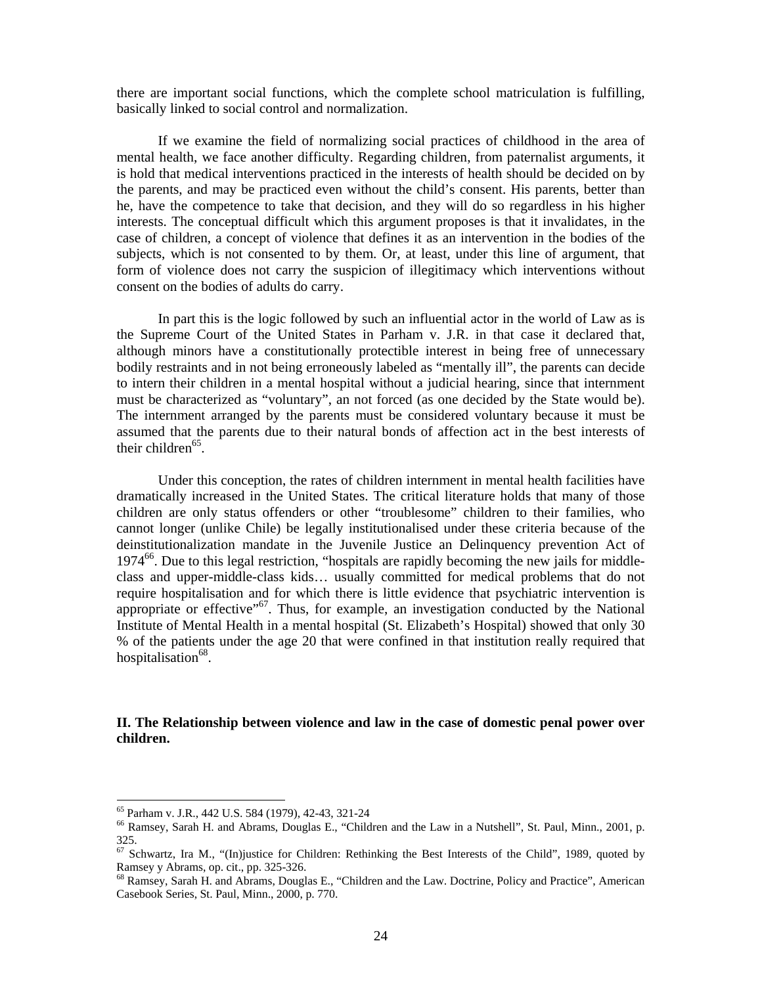there are important social functions, which the complete school matriculation is fulfilling, basically linked to social control and normalization.

 If we examine the field of normalizing social practices of childhood in the area of mental health, we face another difficulty. Regarding children, from paternalist arguments, it is hold that medical interventions practiced in the interests of health should be decided on by the parents, and may be practiced even without the child's consent. His parents, better than he, have the competence to take that decision, and they will do so regardless in his higher interests. The conceptual difficult which this argument proposes is that it invalidates, in the case of children, a concept of violence that defines it as an intervention in the bodies of the subjects, which is not consented to by them. Or, at least, under this line of argument, that form of violence does not carry the suspicion of illegitimacy which interventions without consent on the bodies of adults do carry.

 In part this is the logic followed by such an influential actor in the world of Law as is the Supreme Court of the United States in Parham v. J.R. in that case it declared that, although minors have a constitutionally protectible interest in being free of unnecessary bodily restraints and in not being erroneously labeled as "mentally ill", the parents can decide to intern their children in a mental hospital without a judicial hearing, since that internment must be characterized as "voluntary", an not forced (as one decided by the State would be). The internment arranged by the parents must be considered voluntary because it must be assumed that the parents due to their natural bonds of affection act in the best interests of their children $^{65}$ .

 Under this conception, the rates of children internment in mental health facilities have dramatically increased in the United States. The critical literature holds that many of those children are only status offenders or other "troublesome" children to their families, who cannot longer (unlike Chile) be legally institutionalised under these criteria because of the deinstitutionalization mandate in the Juvenile Justice an Delinquency prevention Act of  $1974<sup>66</sup>$ . Due to this legal restriction, "hospitals are rapidly becoming the new jails for middleclass and upper-middle-class kids… usually committed for medical problems that do not require hospitalisation and for which there is little evidence that psychiatric intervention is appropriate or effective"<sup>67</sup>. Thus, for example, an investigation conducted by the National Institute of Mental Health in a mental hospital (St. Elizabeth's Hospital) showed that only 30 % of the patients under the age 20 that were confined in that institution really required that hospitalisation<sup>68</sup>.

# **II. The Relationship between violence and law in the case of domestic penal power over children.**

<sup>65</sup> Parham v. J.R., 442 U.S. 584 (1979), 42-43, 321-24

<sup>66</sup> Ramsey, Sarah H. and Abrams, Douglas E., "Children and the Law in a Nutshell", St. Paul, Minn., 2001, p. 325.

<sup>&</sup>lt;sup>67</sup> Schwartz, Ira M., "(In)justice for Children: Rethinking the Best Interests of the Child", 1989, quoted by Ramsey y Abrams, op. cit., pp. 325-326.

<sup>68</sup> Ramsey, Sarah H. and Abrams, Douglas E., "Children and the Law. Doctrine, Policy and Practice", American Casebook Series, St. Paul, Minn., 2000, p. 770.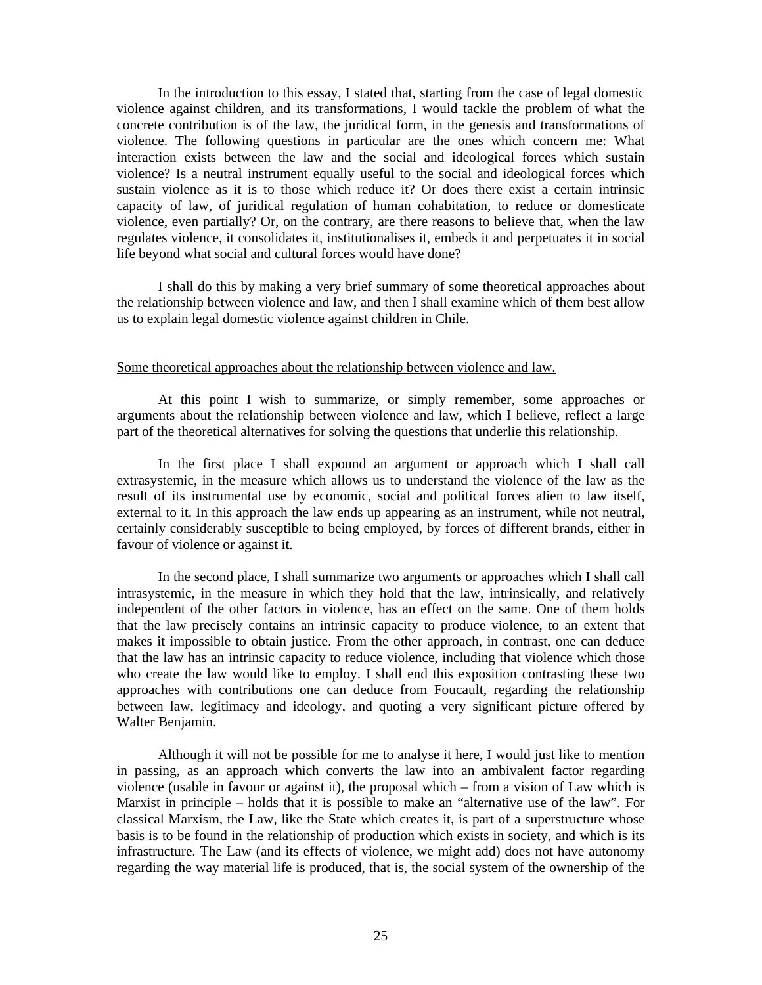In the introduction to this essay, I stated that, starting from the case of legal domestic violence against children, and its transformations, I would tackle the problem of what the concrete contribution is of the law, the juridical form, in the genesis and transformations of violence. The following questions in particular are the ones which concern me: What interaction exists between the law and the social and ideological forces which sustain violence? Is a neutral instrument equally useful to the social and ideological forces which sustain violence as it is to those which reduce it? Or does there exist a certain intrinsic capacity of law, of juridical regulation of human cohabitation, to reduce or domesticate violence, even partially? Or, on the contrary, are there reasons to believe that, when the law regulates violence, it consolidates it, institutionalises it, embeds it and perpetuates it in social life beyond what social and cultural forces would have done?

I shall do this by making a very brief summary of some theoretical approaches about the relationship between violence and law, and then I shall examine which of them best allow us to explain legal domestic violence against children in Chile.

### Some theoretical approaches about the relationship between violence and law.

At this point I wish to summarize, or simply remember, some approaches or arguments about the relationship between violence and law, which I believe, reflect a large part of the theoretical alternatives for solving the questions that underlie this relationship.

In the first place I shall expound an argument or approach which I shall call extrasystemic, in the measure which allows us to understand the violence of the law as the result of its instrumental use by economic, social and political forces alien to law itself, external to it. In this approach the law ends up appearing as an instrument, while not neutral, certainly considerably susceptible to being employed, by forces of different brands, either in favour of violence or against it.

In the second place, I shall summarize two arguments or approaches which I shall call intrasystemic, in the measure in which they hold that the law, intrinsically, and relatively independent of the other factors in violence, has an effect on the same. One of them holds that the law precisely contains an intrinsic capacity to produce violence, to an extent that makes it impossible to obtain justice. From the other approach, in contrast, one can deduce that the law has an intrinsic capacity to reduce violence, including that violence which those who create the law would like to employ. I shall end this exposition contrasting these two approaches with contributions one can deduce from Foucault, regarding the relationship between law, legitimacy and ideology, and quoting a very significant picture offered by Walter Benjamin.

Although it will not be possible for me to analyse it here, I would just like to mention in passing, as an approach which converts the law into an ambivalent factor regarding violence (usable in favour or against it), the proposal which – from a vision of Law which is Marxist in principle – holds that it is possible to make an "alternative use of the law". For classical Marxism, the Law, like the State which creates it, is part of a superstructure whose basis is to be found in the relationship of production which exists in society, and which is its infrastructure. The Law (and its effects of violence, we might add) does not have autonomy regarding the way material life is produced, that is, the social system of the ownership of the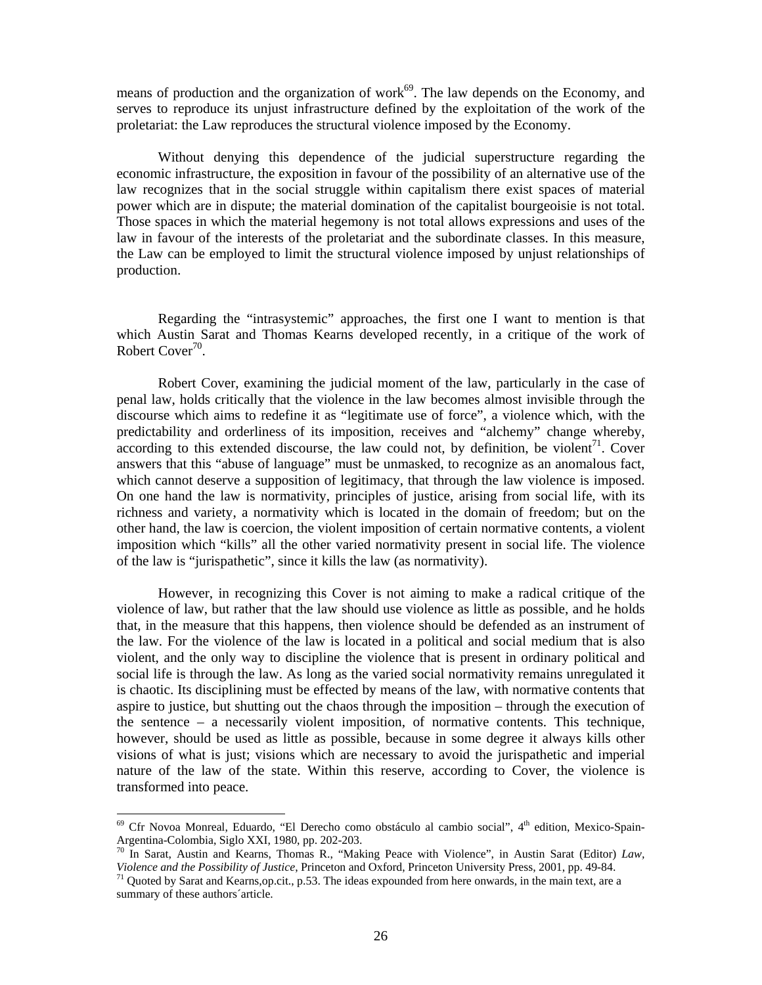means of production and the organization of work $69$ . The law depends on the Economy, and serves to reproduce its unjust infrastructure defined by the exploitation of the work of the proletariat: the Law reproduces the structural violence imposed by the Economy.

Without denying this dependence of the judicial superstructure regarding the economic infrastructure, the exposition in favour of the possibility of an alternative use of the law recognizes that in the social struggle within capitalism there exist spaces of material power which are in dispute; the material domination of the capitalist bourgeoisie is not total. Those spaces in which the material hegemony is not total allows expressions and uses of the law in favour of the interests of the proletariat and the subordinate classes. In this measure, the Law can be employed to limit the structural violence imposed by unjust relationships of production.

Regarding the "intrasystemic" approaches, the first one I want to mention is that which Austin Sarat and Thomas Kearns developed recently, in a critique of the work of Robert Cover<sup>70</sup>.

Robert Cover, examining the judicial moment of the law, particularly in the case of penal law, holds critically that the violence in the law becomes almost invisible through the discourse which aims to redefine it as "legitimate use of force", a violence which, with the predictability and orderliness of its imposition, receives and "alchemy" change whereby, according to this extended discourse, the law could not, by definition, be violent<sup>71</sup>. Cover answers that this "abuse of language" must be unmasked, to recognize as an anomalous fact, which cannot deserve a supposition of legitimacy, that through the law violence is imposed. On one hand the law is normativity, principles of justice, arising from social life, with its richness and variety, a normativity which is located in the domain of freedom; but on the other hand, the law is coercion, the violent imposition of certain normative contents, a violent imposition which "kills" all the other varied normativity present in social life. The violence of the law is "jurispathetic", since it kills the law (as normativity).

However, in recognizing this Cover is not aiming to make a radical critique of the violence of law, but rather that the law should use violence as little as possible, and he holds that, in the measure that this happens, then violence should be defended as an instrument of the law. For the violence of the law is located in a political and social medium that is also violent, and the only way to discipline the violence that is present in ordinary political and social life is through the law. As long as the varied social normativity remains unregulated it is chaotic. Its disciplining must be effected by means of the law, with normative contents that aspire to justice, but shutting out the chaos through the imposition – through the execution of the sentence – a necessarily violent imposition, of normative contents. This technique, however, should be used as little as possible, because in some degree it always kills other visions of what is just; visions which are necessary to avoid the jurispathetic and imperial nature of the law of the state. Within this reserve, according to Cover, the violence is transformed into peace.

 $69$  Cfr Novoa Monreal, Eduardo, "El Derecho como obstáculo al cambio social",  $4<sup>th</sup>$  edition, Mexico-Spain-Argentina-Colombia, Siglo XXI, 1980, pp. 202-203.

<sup>&</sup>lt;sup>70</sup> In Sarat, Austin and Kearns, Thomas R., "Making Peace with Violence", in Austin Sarat (Editor) *Law*, *Violence and the Possibility of Justice*, Princeton and Oxford, Princeton University Press, 2001, pp. 49-84.

<sup>&</sup>lt;sup>71</sup> Quoted by Sarat and Kearns, op.cit., p.53. The ideas expounded from here onwards, in the main text, are a summary of these authors´article.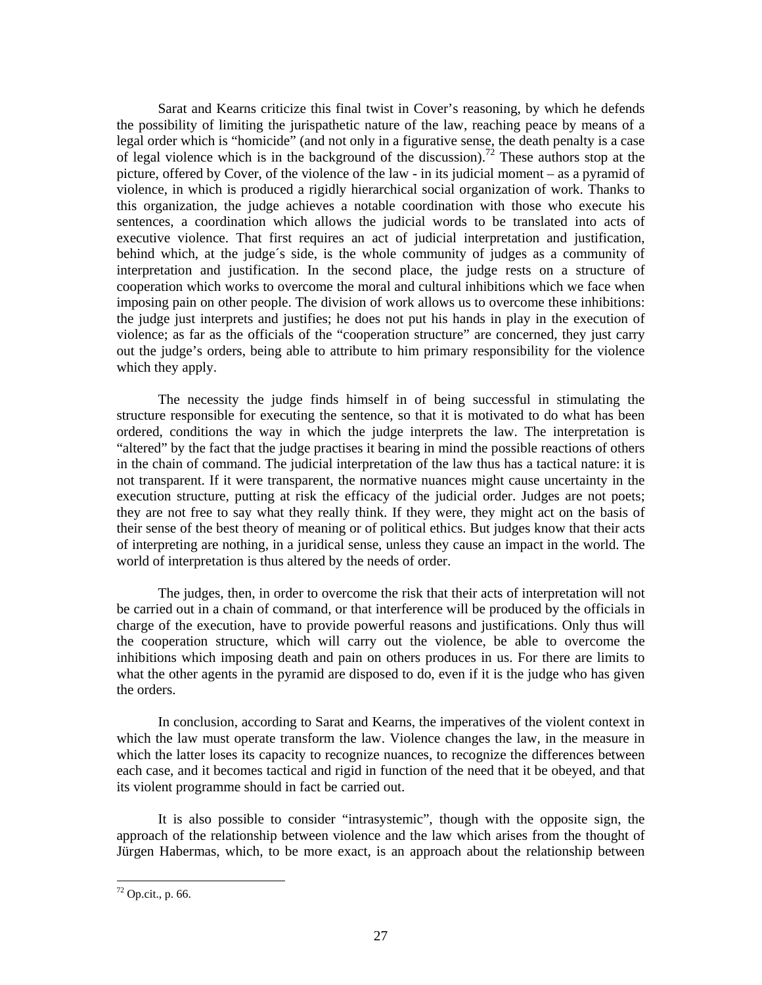Sarat and Kearns criticize this final twist in Cover's reasoning, by which he defends the possibility of limiting the jurispathetic nature of the law, reaching peace by means of a legal order which is "homicide" (and not only in a figurative sense, the death penalty is a case of legal violence which is in the background of the discussion).<sup>72</sup> These authors stop at the picture, offered by Cover, of the violence of the law - in its judicial moment – as a pyramid of violence, in which is produced a rigidly hierarchical social organization of work. Thanks to this organization, the judge achieves a notable coordination with those who execute his sentences, a coordination which allows the judicial words to be translated into acts of executive violence. That first requires an act of judicial interpretation and justification, behind which, at the judge´s side, is the whole community of judges as a community of interpretation and justification. In the second place, the judge rests on a structure of cooperation which works to overcome the moral and cultural inhibitions which we face when imposing pain on other people. The division of work allows us to overcome these inhibitions: the judge just interprets and justifies; he does not put his hands in play in the execution of violence; as far as the officials of the "cooperation structure" are concerned, they just carry out the judge's orders, being able to attribute to him primary responsibility for the violence which they apply.

The necessity the judge finds himself in of being successful in stimulating the structure responsible for executing the sentence, so that it is motivated to do what has been ordered, conditions the way in which the judge interprets the law. The interpretation is "altered" by the fact that the judge practises it bearing in mind the possible reactions of others in the chain of command. The judicial interpretation of the law thus has a tactical nature: it is not transparent. If it were transparent, the normative nuances might cause uncertainty in the execution structure, putting at risk the efficacy of the judicial order. Judges are not poets; they are not free to say what they really think. If they were, they might act on the basis of their sense of the best theory of meaning or of political ethics. But judges know that their acts of interpreting are nothing, in a juridical sense, unless they cause an impact in the world. The world of interpretation is thus altered by the needs of order.

The judges, then, in order to overcome the risk that their acts of interpretation will not be carried out in a chain of command, or that interference will be produced by the officials in charge of the execution, have to provide powerful reasons and justifications. Only thus will the cooperation structure, which will carry out the violence, be able to overcome the inhibitions which imposing death and pain on others produces in us. For there are limits to what the other agents in the pyramid are disposed to do, even if it is the judge who has given the orders.

In conclusion, according to Sarat and Kearns, the imperatives of the violent context in which the law must operate transform the law. Violence changes the law, in the measure in which the latter loses its capacity to recognize nuances, to recognize the differences between each case, and it becomes tactical and rigid in function of the need that it be obeyed, and that its violent programme should in fact be carried out.

It is also possible to consider "intrasystemic", though with the opposite sign, the approach of the relationship between violence and the law which arises from the thought of Jürgen Habermas, which, to be more exact, is an approach about the relationship between

 $72$  Op.cit., p. 66.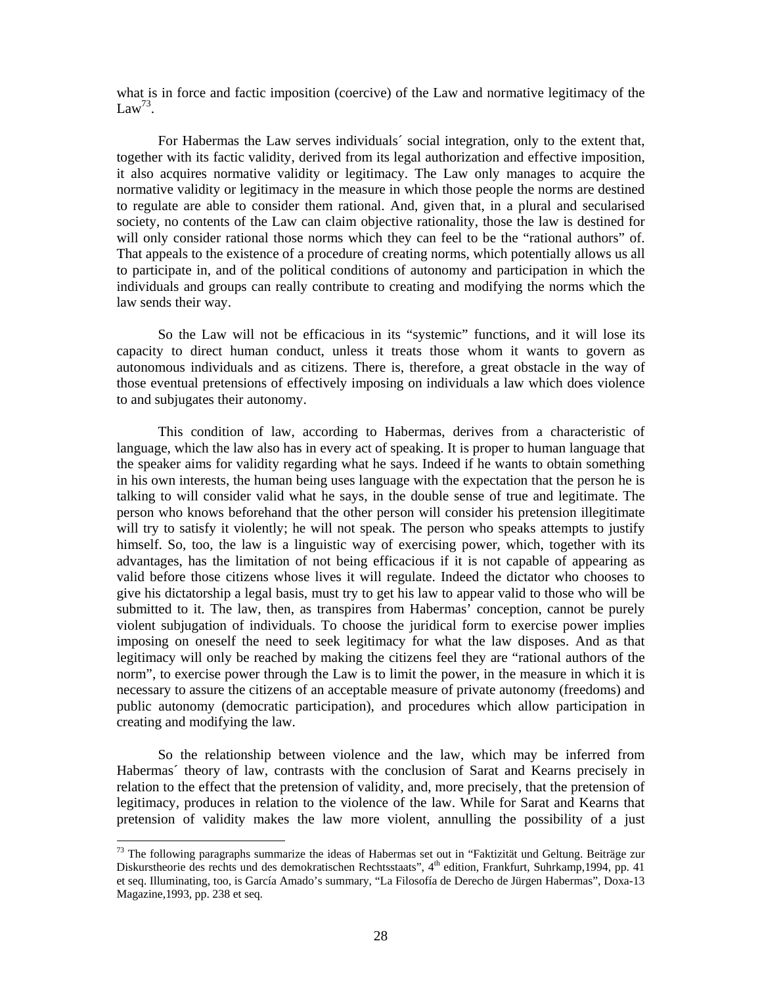what is in force and factic imposition (coercive) of the Law and normative legitimacy of the  $Law<sup>73</sup>$ .

For Habermas the Law serves individuals´ social integration, only to the extent that, together with its factic validity, derived from its legal authorization and effective imposition, it also acquires normative validity or legitimacy. The Law only manages to acquire the normative validity or legitimacy in the measure in which those people the norms are destined to regulate are able to consider them rational. And, given that, in a plural and secularised society, no contents of the Law can claim objective rationality, those the law is destined for will only consider rational those norms which they can feel to be the "rational authors" of. That appeals to the existence of a procedure of creating norms, which potentially allows us all to participate in, and of the political conditions of autonomy and participation in which the individuals and groups can really contribute to creating and modifying the norms which the law sends their way.

So the Law will not be efficacious in its "systemic" functions, and it will lose its capacity to direct human conduct, unless it treats those whom it wants to govern as autonomous individuals and as citizens. There is, therefore, a great obstacle in the way of those eventual pretensions of effectively imposing on individuals a law which does violence to and subjugates their autonomy.

This condition of law, according to Habermas, derives from a characteristic of language, which the law also has in every act of speaking. It is proper to human language that the speaker aims for validity regarding what he says. Indeed if he wants to obtain something in his own interests, the human being uses language with the expectation that the person he is talking to will consider valid what he says, in the double sense of true and legitimate. The person who knows beforehand that the other person will consider his pretension illegitimate will try to satisfy it violently; he will not speak. The person who speaks attempts to justify himself. So, too, the law is a linguistic way of exercising power, which, together with its advantages, has the limitation of not being efficacious if it is not capable of appearing as valid before those citizens whose lives it will regulate. Indeed the dictator who chooses to give his dictatorship a legal basis, must try to get his law to appear valid to those who will be submitted to it. The law, then, as transpires from Habermas' conception, cannot be purely violent subjugation of individuals. To choose the juridical form to exercise power implies imposing on oneself the need to seek legitimacy for what the law disposes. And as that legitimacy will only be reached by making the citizens feel they are "rational authors of the norm", to exercise power through the Law is to limit the power, in the measure in which it is necessary to assure the citizens of an acceptable measure of private autonomy (freedoms) and public autonomy (democratic participation), and procedures which allow participation in creating and modifying the law.

So the relationship between violence and the law, which may be inferred from Habermas´ theory of law, contrasts with the conclusion of Sarat and Kearns precisely in relation to the effect that the pretension of validity, and, more precisely, that the pretension of legitimacy, produces in relation to the violence of the law. While for Sarat and Kearns that pretension of validity makes the law more violent, annulling the possibility of a just

<sup>&</sup>lt;sup>73</sup> The following paragraphs summarize the ideas of Habermas set out in "Faktizität und Geltung. Beiträge zur Diskurstheorie des rechts und des demokratischen Rechtsstaats", 4th edition, Frankfurt, Suhrkamp,1994, pp. 41 et seq. Illuminating, too, is García Amado's summary, "La Filosofía de Derecho de Jürgen Habermas", Doxa-13 Magazine,1993, pp. 238 et seq.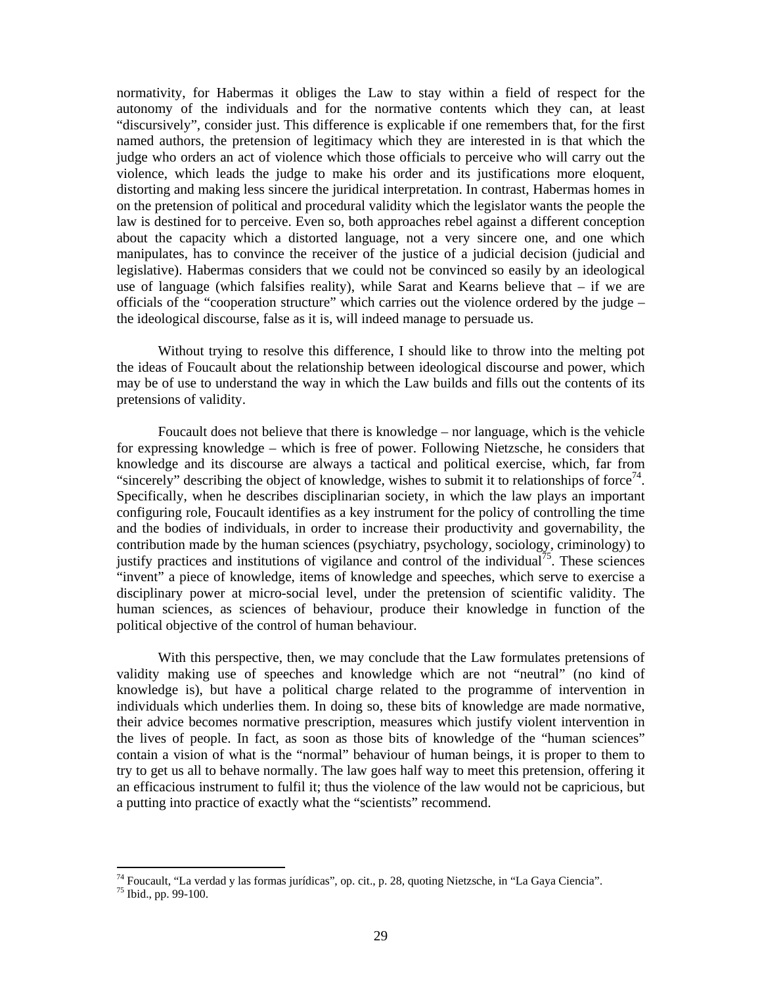normativity, for Habermas it obliges the Law to stay within a field of respect for the autonomy of the individuals and for the normative contents which they can, at least "discursively", consider just. This difference is explicable if one remembers that, for the first named authors, the pretension of legitimacy which they are interested in is that which the judge who orders an act of violence which those officials to perceive who will carry out the violence, which leads the judge to make his order and its justifications more eloquent, distorting and making less sincere the juridical interpretation. In contrast, Habermas homes in on the pretension of political and procedural validity which the legislator wants the people the law is destined for to perceive. Even so, both approaches rebel against a different conception about the capacity which a distorted language, not a very sincere one, and one which manipulates, has to convince the receiver of the justice of a judicial decision (judicial and legislative). Habermas considers that we could not be convinced so easily by an ideological use of language (which falsifies reality), while Sarat and Kearns believe that – if we are officials of the "cooperation structure" which carries out the violence ordered by the judge – the ideological discourse, false as it is, will indeed manage to persuade us.

Without trying to resolve this difference, I should like to throw into the melting pot the ideas of Foucault about the relationship between ideological discourse and power, which may be of use to understand the way in which the Law builds and fills out the contents of its pretensions of validity.

Foucault does not believe that there is knowledge – nor language, which is the vehicle for expressing knowledge – which is free of power. Following Nietzsche, he considers that knowledge and its discourse are always a tactical and political exercise, which, far from "sincerely" describing the object of knowledge, wishes to submit it to relationships of force<sup>74</sup>. Specifically, when he describes disciplinarian society, in which the law plays an important configuring role, Foucault identifies as a key instrument for the policy of controlling the time and the bodies of individuals, in order to increase their productivity and governability, the contribution made by the human sciences (psychiatry, psychology, sociology, criminology) to justify practices and institutions of vigilance and control of the individual<sup>75</sup>. These sciences "invent" a piece of knowledge, items of knowledge and speeches, which serve to exercise a disciplinary power at micro-social level, under the pretension of scientific validity. The human sciences, as sciences of behaviour, produce their knowledge in function of the political objective of the control of human behaviour.

With this perspective, then, we may conclude that the Law formulates pretensions of validity making use of speeches and knowledge which are not "neutral" (no kind of knowledge is), but have a political charge related to the programme of intervention in individuals which underlies them. In doing so, these bits of knowledge are made normative, their advice becomes normative prescription, measures which justify violent intervention in the lives of people. In fact, as soon as those bits of knowledge of the "human sciences" contain a vision of what is the "normal" behaviour of human beings, it is proper to them to try to get us all to behave normally. The law goes half way to meet this pretension, offering it an efficacious instrument to fulfil it; thus the violence of the law would not be capricious, but a putting into practice of exactly what the "scientists" recommend.

<sup>74</sup> Foucault, "La verdad y las formas jurídicas", op. cit., p. 28, quoting Nietzsche, in "La Gaya Ciencia".

 $75$  Ibid., pp. 99-100.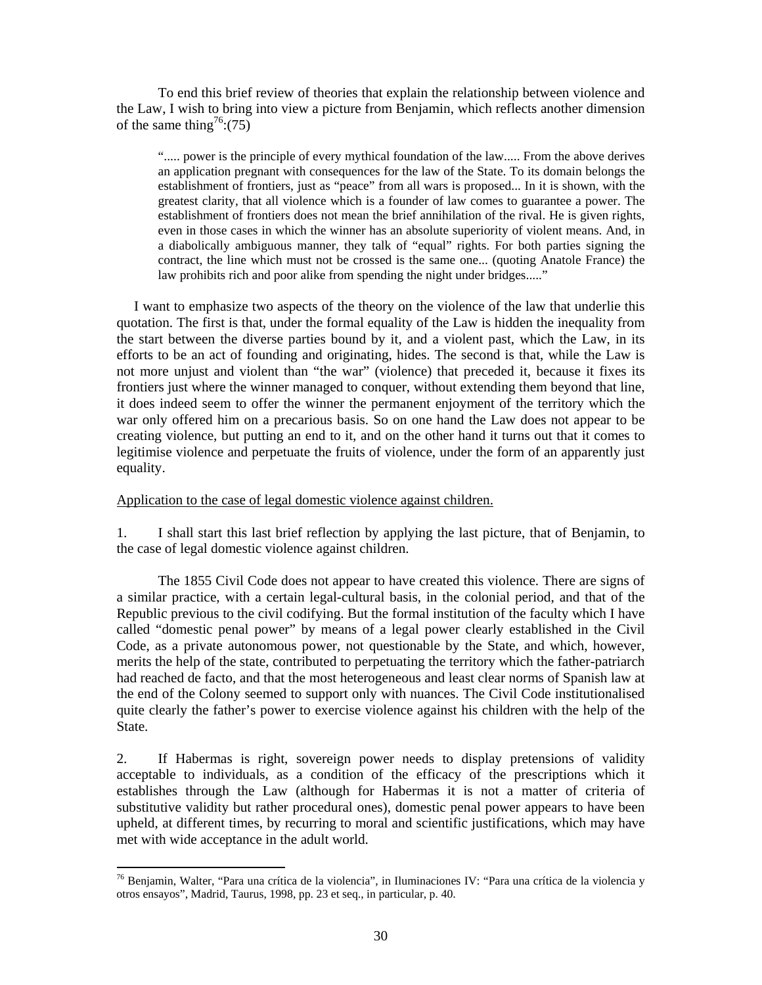To end this brief review of theories that explain the relationship between violence and the Law, I wish to bring into view a picture from Benjamin, which reflects another dimension of the same thing<sup>76</sup>:(75)

"..... power is the principle of every mythical foundation of the law..... From the above derives an application pregnant with consequences for the law of the State. To its domain belongs the establishment of frontiers, just as "peace" from all wars is proposed... In it is shown, with the greatest clarity, that all violence which is a founder of law comes to guarantee a power. The establishment of frontiers does not mean the brief annihilation of the rival. He is given rights, even in those cases in which the winner has an absolute superiority of violent means. And, in a diabolically ambiguous manner, they talk of "equal" rights. For both parties signing the contract, the line which must not be crossed is the same one... (quoting Anatole France) the law prohibits rich and poor alike from spending the night under bridges....."

 I want to emphasize two aspects of the theory on the violence of the law that underlie this quotation. The first is that, under the formal equality of the Law is hidden the inequality from the start between the diverse parties bound by it, and a violent past, which the Law, in its efforts to be an act of founding and originating, hides. The second is that, while the Law is not more unjust and violent than "the war" (violence) that preceded it, because it fixes its frontiers just where the winner managed to conquer, without extending them beyond that line, it does indeed seem to offer the winner the permanent enjoyment of the territory which the war only offered him on a precarious basis. So on one hand the Law does not appear to be creating violence, but putting an end to it, and on the other hand it turns out that it comes to legitimise violence and perpetuate the fruits of violence, under the form of an apparently just equality.

Application to the case of legal domestic violence against children.

1. I shall start this last brief reflection by applying the last picture, that of Benjamin, to the case of legal domestic violence against children.

The 1855 Civil Code does not appear to have created this violence. There are signs of a similar practice, with a certain legal-cultural basis, in the colonial period, and that of the Republic previous to the civil codifying. But the formal institution of the faculty which I have called "domestic penal power" by means of a legal power clearly established in the Civil Code, as a private autonomous power, not questionable by the State, and which, however, merits the help of the state, contributed to perpetuating the territory which the father-patriarch had reached de facto, and that the most heterogeneous and least clear norms of Spanish law at the end of the Colony seemed to support only with nuances. The Civil Code institutionalised quite clearly the father's power to exercise violence against his children with the help of the State.

2. If Habermas is right, sovereign power needs to display pretensions of validity acceptable to individuals, as a condition of the efficacy of the prescriptions which it establishes through the Law (although for Habermas it is not a matter of criteria of substitutive validity but rather procedural ones), domestic penal power appears to have been upheld, at different times, by recurring to moral and scientific justifications, which may have met with wide acceptance in the adult world.

<sup>-</sup>76 Benjamin, Walter, "Para una crítica de la violencia", in Iluminaciones IV: "Para una crítica de la violencia y otros ensayos", Madrid, Taurus, 1998, pp. 23 et seq., in particular, p. 40.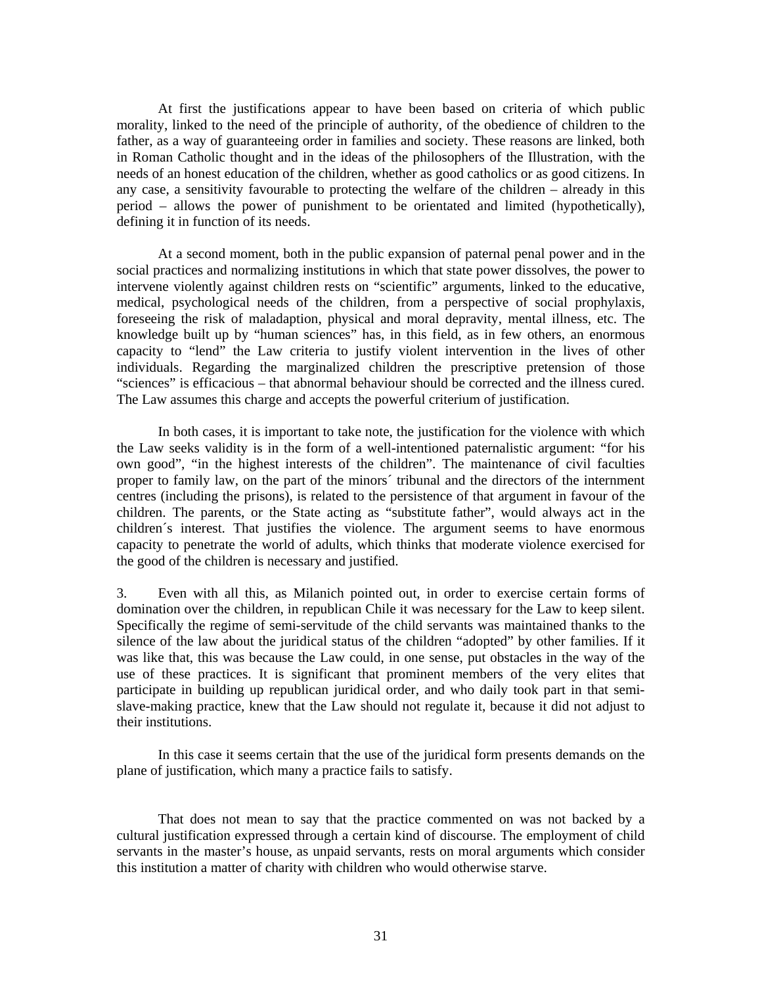At first the justifications appear to have been based on criteria of which public morality, linked to the need of the principle of authority, of the obedience of children to the father, as a way of guaranteeing order in families and society. These reasons are linked, both in Roman Catholic thought and in the ideas of the philosophers of the Illustration, with the needs of an honest education of the children, whether as good catholics or as good citizens. In any case, a sensitivity favourable to protecting the welfare of the children – already in this period – allows the power of punishment to be orientated and limited (hypothetically), defining it in function of its needs.

At a second moment, both in the public expansion of paternal penal power and in the social practices and normalizing institutions in which that state power dissolves, the power to intervene violently against children rests on "scientific" arguments, linked to the educative, medical, psychological needs of the children, from a perspective of social prophylaxis, foreseeing the risk of maladaption, physical and moral depravity, mental illness, etc. The knowledge built up by "human sciences" has, in this field, as in few others, an enormous capacity to "lend" the Law criteria to justify violent intervention in the lives of other individuals. Regarding the marginalized children the prescriptive pretension of those "sciences" is efficacious – that abnormal behaviour should be corrected and the illness cured. The Law assumes this charge and accepts the powerful criterium of justification.

In both cases, it is important to take note, the justification for the violence with which the Law seeks validity is in the form of a well-intentioned paternalistic argument: "for his own good", "in the highest interests of the children". The maintenance of civil faculties proper to family law, on the part of the minors´ tribunal and the directors of the internment centres (including the prisons), is related to the persistence of that argument in favour of the children. The parents, or the State acting as "substitute father", would always act in the children´s interest. That justifies the violence. The argument seems to have enormous capacity to penetrate the world of adults, which thinks that moderate violence exercised for the good of the children is necessary and justified.

3. Even with all this, as Milanich pointed out, in order to exercise certain forms of domination over the children, in republican Chile it was necessary for the Law to keep silent. Specifically the regime of semi-servitude of the child servants was maintained thanks to the silence of the law about the juridical status of the children "adopted" by other families. If it was like that, this was because the Law could, in one sense, put obstacles in the way of the use of these practices. It is significant that prominent members of the very elites that participate in building up republican juridical order, and who daily took part in that semislave-making practice, knew that the Law should not regulate it, because it did not adjust to their institutions.

In this case it seems certain that the use of the juridical form presents demands on the plane of justification, which many a practice fails to satisfy.

That does not mean to say that the practice commented on was not backed by a cultural justification expressed through a certain kind of discourse. The employment of child servants in the master's house, as unpaid servants, rests on moral arguments which consider this institution a matter of charity with children who would otherwise starve.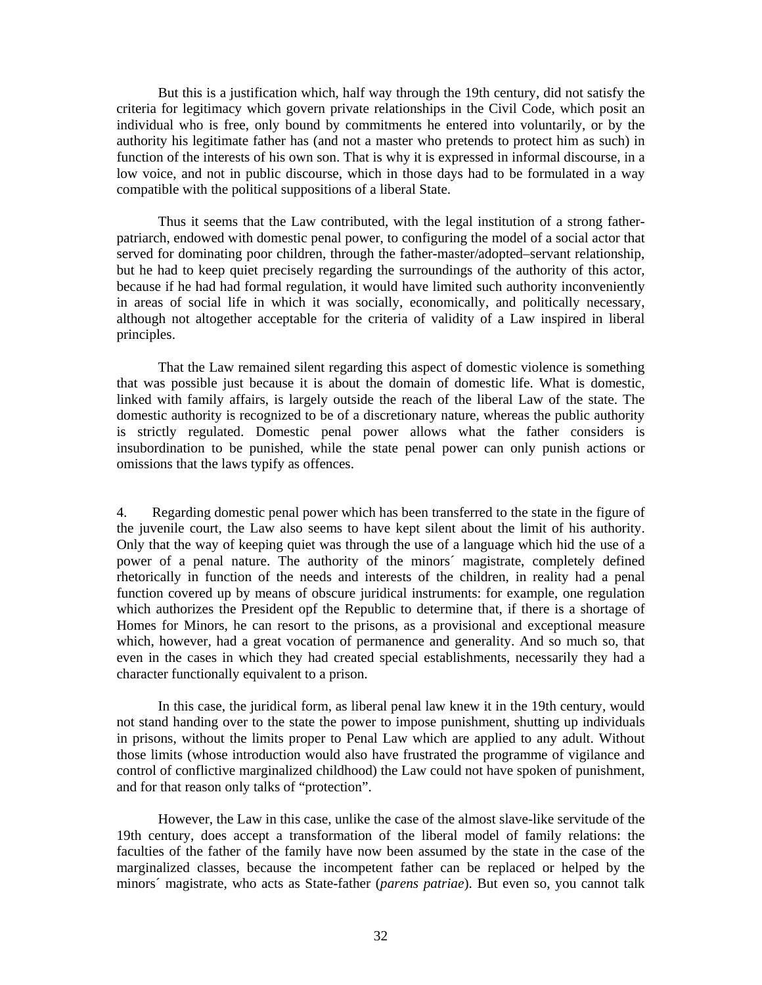But this is a justification which, half way through the 19th century, did not satisfy the criteria for legitimacy which govern private relationships in the Civil Code, which posit an individual who is free, only bound by commitments he entered into voluntarily, or by the authority his legitimate father has (and not a master who pretends to protect him as such) in function of the interests of his own son. That is why it is expressed in informal discourse, in a low voice, and not in public discourse, which in those days had to be formulated in a way compatible with the political suppositions of a liberal State.

Thus it seems that the Law contributed, with the legal institution of a strong fatherpatriarch, endowed with domestic penal power, to configuring the model of a social actor that served for dominating poor children, through the father-master/adopted–servant relationship, but he had to keep quiet precisely regarding the surroundings of the authority of this actor, because if he had had formal regulation, it would have limited such authority inconveniently in areas of social life in which it was socially, economically, and politically necessary, although not altogether acceptable for the criteria of validity of a Law inspired in liberal principles.

That the Law remained silent regarding this aspect of domestic violence is something that was possible just because it is about the domain of domestic life. What is domestic, linked with family affairs, is largely outside the reach of the liberal Law of the state. The domestic authority is recognized to be of a discretionary nature, whereas the public authority is strictly regulated. Domestic penal power allows what the father considers is insubordination to be punished, while the state penal power can only punish actions or omissions that the laws typify as offences.

4. Regarding domestic penal power which has been transferred to the state in the figure of the juvenile court, the Law also seems to have kept silent about the limit of his authority. Only that the way of keeping quiet was through the use of a language which hid the use of a power of a penal nature. The authority of the minors´ magistrate, completely defined rhetorically in function of the needs and interests of the children, in reality had a penal function covered up by means of obscure juridical instruments: for example, one regulation which authorizes the President opf the Republic to determine that, if there is a shortage of Homes for Minors, he can resort to the prisons, as a provisional and exceptional measure which, however, had a great vocation of permanence and generality. And so much so, that even in the cases in which they had created special establishments, necessarily they had a character functionally equivalent to a prison.

In this case, the juridical form, as liberal penal law knew it in the 19th century, would not stand handing over to the state the power to impose punishment, shutting up individuals in prisons, without the limits proper to Penal Law which are applied to any adult. Without those limits (whose introduction would also have frustrated the programme of vigilance and control of conflictive marginalized childhood) the Law could not have spoken of punishment, and for that reason only talks of "protection".

However, the Law in this case, unlike the case of the almost slave-like servitude of the 19th century, does accept a transformation of the liberal model of family relations: the faculties of the father of the family have now been assumed by the state in the case of the marginalized classes, because the incompetent father can be replaced or helped by the minors´ magistrate, who acts as State-father (*parens patriae*). But even so, you cannot talk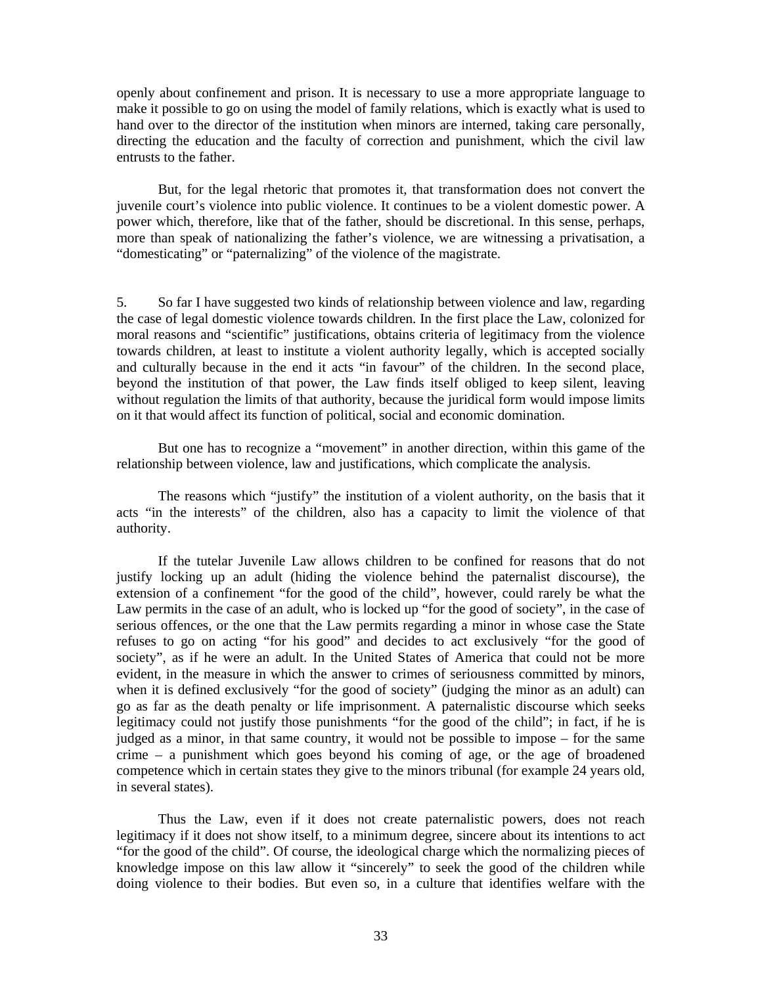openly about confinement and prison. It is necessary to use a more appropriate language to make it possible to go on using the model of family relations, which is exactly what is used to hand over to the director of the institution when minors are interned, taking care personally, directing the education and the faculty of correction and punishment, which the civil law entrusts to the father.

But, for the legal rhetoric that promotes it, that transformation does not convert the juvenile court's violence into public violence. It continues to be a violent domestic power. A power which, therefore, like that of the father, should be discretional. In this sense, perhaps, more than speak of nationalizing the father's violence, we are witnessing a privatisation, a "domesticating" or "paternalizing" of the violence of the magistrate.

5. So far I have suggested two kinds of relationship between violence and law, regarding the case of legal domestic violence towards children. In the first place the Law, colonized for moral reasons and "scientific" justifications, obtains criteria of legitimacy from the violence towards children, at least to institute a violent authority legally, which is accepted socially and culturally because in the end it acts "in favour" of the children. In the second place, beyond the institution of that power, the Law finds itself obliged to keep silent, leaving without regulation the limits of that authority, because the juridical form would impose limits on it that would affect its function of political, social and economic domination.

But one has to recognize a "movement" in another direction, within this game of the relationship between violence, law and justifications, which complicate the analysis.

The reasons which "justify" the institution of a violent authority, on the basis that it acts "in the interests" of the children, also has a capacity to limit the violence of that authority.

If the tutelar Juvenile Law allows children to be confined for reasons that do not justify locking up an adult (hiding the violence behind the paternalist discourse), the extension of a confinement "for the good of the child", however, could rarely be what the Law permits in the case of an adult, who is locked up "for the good of society", in the case of serious offences, or the one that the Law permits regarding a minor in whose case the State refuses to go on acting "for his good" and decides to act exclusively "for the good of society", as if he were an adult. In the United States of America that could not be more evident, in the measure in which the answer to crimes of seriousness committed by minors, when it is defined exclusively "for the good of society" (judging the minor as an adult) can go as far as the death penalty or life imprisonment. A paternalistic discourse which seeks legitimacy could not justify those punishments "for the good of the child"; in fact, if he is judged as a minor, in that same country, it would not be possible to impose – for the same crime – a punishment which goes beyond his coming of age, or the age of broadened competence which in certain states they give to the minors tribunal (for example 24 years old, in several states).

Thus the Law, even if it does not create paternalistic powers, does not reach legitimacy if it does not show itself, to a minimum degree, sincere about its intentions to act "for the good of the child". Of course, the ideological charge which the normalizing pieces of knowledge impose on this law allow it "sincerely" to seek the good of the children while doing violence to their bodies. But even so, in a culture that identifies welfare with the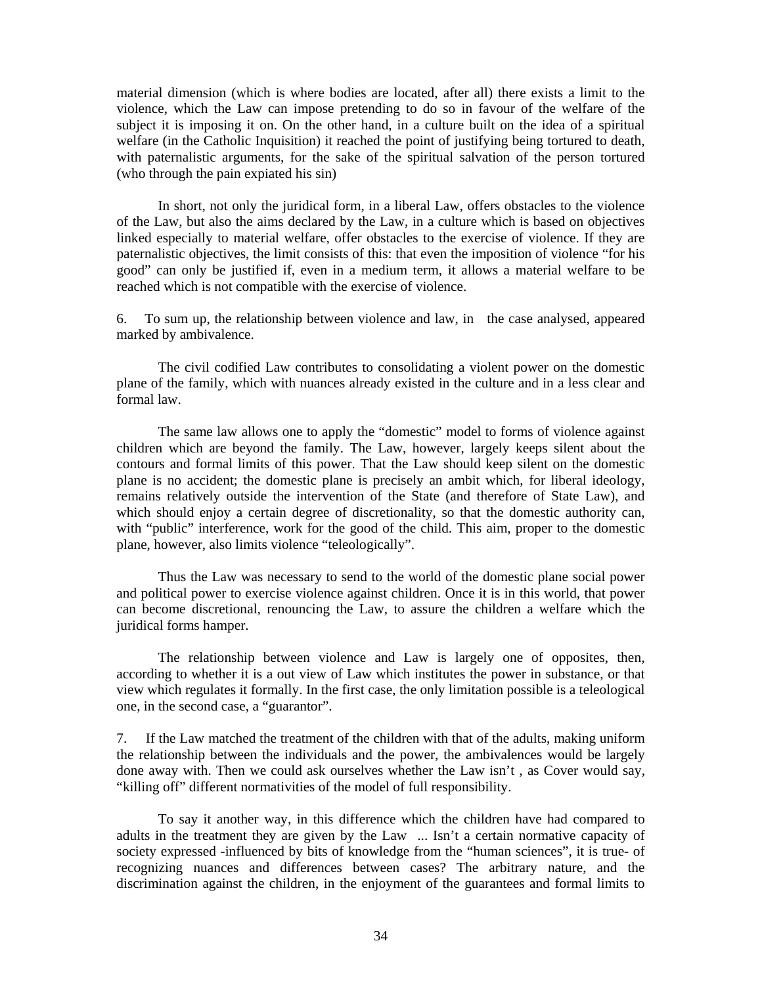material dimension (which is where bodies are located, after all) there exists a limit to the violence, which the Law can impose pretending to do so in favour of the welfare of the subject it is imposing it on. On the other hand, in a culture built on the idea of a spiritual welfare (in the Catholic Inquisition) it reached the point of justifying being tortured to death, with paternalistic arguments, for the sake of the spiritual salvation of the person tortured (who through the pain expiated his sin)

In short, not only the juridical form, in a liberal Law, offers obstacles to the violence of the Law, but also the aims declared by the Law, in a culture which is based on objectives linked especially to material welfare, offer obstacles to the exercise of violence. If they are paternalistic objectives, the limit consists of this: that even the imposition of violence "for his good" can only be justified if, even in a medium term, it allows a material welfare to be reached which is not compatible with the exercise of violence.

6. To sum up, the relationship between violence and law, in the case analysed, appeared marked by ambivalence.

The civil codified Law contributes to consolidating a violent power on the domestic plane of the family, which with nuances already existed in the culture and in a less clear and formal law.

The same law allows one to apply the "domestic" model to forms of violence against children which are beyond the family. The Law, however, largely keeps silent about the contours and formal limits of this power. That the Law should keep silent on the domestic plane is no accident; the domestic plane is precisely an ambit which, for liberal ideology, remains relatively outside the intervention of the State (and therefore of State Law), and which should enjoy a certain degree of discretionality, so that the domestic authority can, with "public" interference, work for the good of the child. This aim, proper to the domestic plane, however, also limits violence "teleologically".

Thus the Law was necessary to send to the world of the domestic plane social power and political power to exercise violence against children. Once it is in this world, that power can become discretional, renouncing the Law, to assure the children a welfare which the juridical forms hamper.

The relationship between violence and Law is largely one of opposites, then, according to whether it is a out view of Law which institutes the power in substance, or that view which regulates it formally. In the first case, the only limitation possible is a teleological one, in the second case, a "guarantor".

7. If the Law matched the treatment of the children with that of the adults, making uniform the relationship between the individuals and the power, the ambivalences would be largely done away with. Then we could ask ourselves whether the Law isn't , as Cover would say, "killing off" different normativities of the model of full responsibility.

To say it another way, in this difference which the children have had compared to adults in the treatment they are given by the Law ... Isn't a certain normative capacity of society expressed -influenced by bits of knowledge from the "human sciences", it is true- of recognizing nuances and differences between cases? The arbitrary nature, and the discrimination against the children, in the enjoyment of the guarantees and formal limits to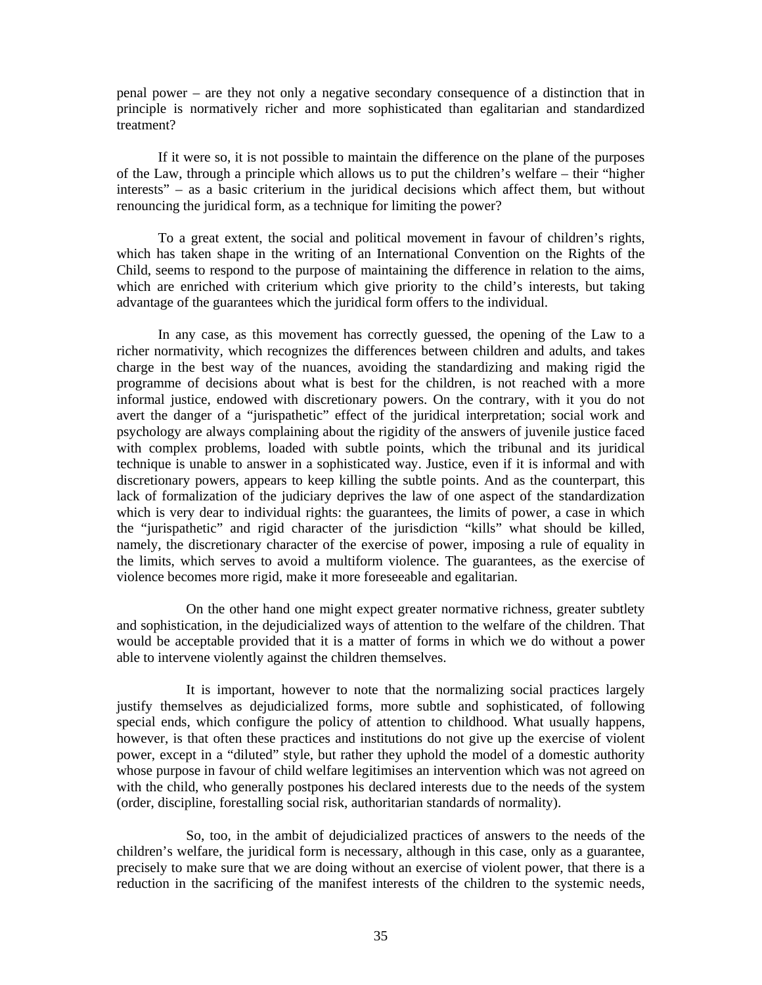penal power – are they not only a negative secondary consequence of a distinction that in principle is normatively richer and more sophisticated than egalitarian and standardized treatment?

If it were so, it is not possible to maintain the difference on the plane of the purposes of the Law, through a principle which allows us to put the children's welfare – their "higher interests" – as a basic criterium in the juridical decisions which affect them, but without renouncing the juridical form, as a technique for limiting the power?

To a great extent, the social and political movement in favour of children's rights, which has taken shape in the writing of an International Convention on the Rights of the Child, seems to respond to the purpose of maintaining the difference in relation to the aims, which are enriched with criterium which give priority to the child's interests, but taking advantage of the guarantees which the juridical form offers to the individual.

In any case, as this movement has correctly guessed, the opening of the Law to a richer normativity, which recognizes the differences between children and adults, and takes charge in the best way of the nuances, avoiding the standardizing and making rigid the programme of decisions about what is best for the children, is not reached with a more informal justice, endowed with discretionary powers. On the contrary, with it you do not avert the danger of a "jurispathetic" effect of the juridical interpretation; social work and psychology are always complaining about the rigidity of the answers of juvenile justice faced with complex problems, loaded with subtle points, which the tribunal and its juridical technique is unable to answer in a sophisticated way. Justice, even if it is informal and with discretionary powers, appears to keep killing the subtle points. And as the counterpart, this lack of formalization of the judiciary deprives the law of one aspect of the standardization which is very dear to individual rights: the guarantees, the limits of power, a case in which the "jurispathetic" and rigid character of the jurisdiction "kills" what should be killed, namely, the discretionary character of the exercise of power, imposing a rule of equality in the limits, which serves to avoid a multiform violence. The guarantees, as the exercise of violence becomes more rigid, make it more foreseeable and egalitarian.

 On the other hand one might expect greater normative richness, greater subtlety and sophistication, in the dejudicialized ways of attention to the welfare of the children. That would be acceptable provided that it is a matter of forms in which we do without a power able to intervene violently against the children themselves.

 It is important, however to note that the normalizing social practices largely justify themselves as dejudicialized forms, more subtle and sophisticated, of following special ends, which configure the policy of attention to childhood. What usually happens, however, is that often these practices and institutions do not give up the exercise of violent power, except in a "diluted" style, but rather they uphold the model of a domestic authority whose purpose in favour of child welfare legitimises an intervention which was not agreed on with the child, who generally postpones his declared interests due to the needs of the system (order, discipline, forestalling social risk, authoritarian standards of normality).

 So, too, in the ambit of dejudicialized practices of answers to the needs of the children's welfare, the juridical form is necessary, although in this case, only as a guarantee, precisely to make sure that we are doing without an exercise of violent power, that there is a reduction in the sacrificing of the manifest interests of the children to the systemic needs,